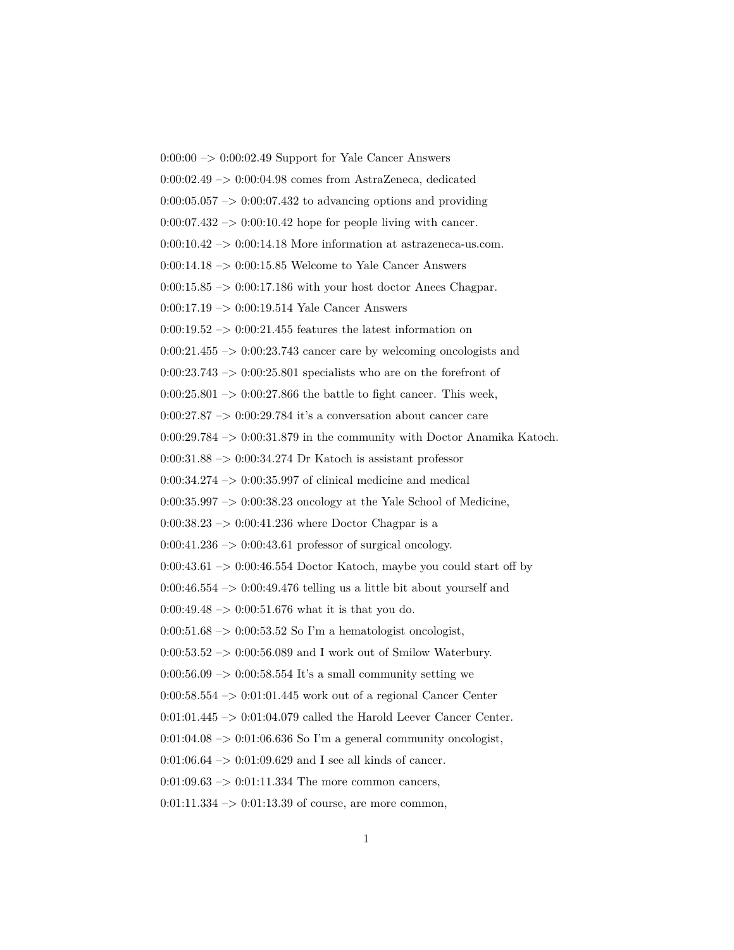$0:00:00 \rightarrow 0:00:02.49$  Support for Yale Cancer Answers 0:00:02.49 –> 0:00:04.98 comes from AstraZeneca, dedicated  $0:00:05.057 \rightarrow 0:00:07.432$  to advancing options and providing  $0:00:07.432 \rightarrow 0:00:10.42$  hope for people living with cancer.  $0:00:10.42 \rightarrow 0:00:14.18$  More information at astrazeneca-us.com.  $0:00:14.18 \rightarrow 0:00:15.85$  Welcome to Yale Cancer Answers  $0:00:15.85 \rightarrow 0:00:17.186$  with your host doctor Anees Chagpar. 0:00:17.19 –> 0:00:19.514 Yale Cancer Answers  $0:00:19.52 \rightarrow 0:00:21.455$  features the latest information on  $0:00:21.455 \rightarrow 0:00:23.743$  cancer care by welcoming oncologists and  $0:00:23.743 \rightarrow 0:00:25.801$  specialists who are on the forefront of  $0:00:25.801 \rightarrow 0:00:27.866$  the battle to fight cancer. This week, 0:00:27.87  $\Rightarrow$  0:00:29.784 it's a conversation about cancer care 0:00:29.784 –> 0:00:31.879 in the community with Doctor Anamika Katoch.  $0:00:31.88 \rightarrow 0:00:34.274$  Dr Katoch is assistant professor 0:00:34.274  $\rightarrow$  0:00:35.997 of clinical medicine and medical  $0:00:35.997 \rightarrow 0:00:38.23$  oncology at the Yale School of Medicine,  $0:00:38.23 \rightarrow 0:00:41.236$  where Doctor Chagpar is a  $0:00:41.236 \rightarrow 0:00:43.61$  professor of surgical oncology.  $0:00:43.61 \rightarrow 0:00:46.554$  Doctor Katoch, maybe you could start off by  $0:00:46.554 \rightarrow 0:00:49.476$  telling us a little bit about yourself and 0:00:49.48  $\rightarrow$  0:00:51.676 what it is that you do.  $0:00:51.68 \rightarrow 0:00:53.52$  So I'm a hematologist oncologist, 0:00:53.52 –> 0:00:56.089 and I work out of Smilow Waterbury.  $0:00:56.09 \rightarrow 0:00:58.554$  It's a small community setting we  $0:00:58.554 \rightarrow 0:01:01.445$  work out of a regional Cancer Center 0:01:01.445 -> 0:01:04.079 called the Harold Leever Cancer Center.  $0:01:04.08 \rightarrow 0:01:06.636$  So I'm a general community oncologist,  $0:01:06.64 \rightarrow 0:01:09.629$  and I see all kinds of cancer.  $0:01:09.63 \rightarrow 0:01:11.334$  The more common cancers,  $0:01:11.334 \rightarrow 0:01:13.39$  of course, are more common,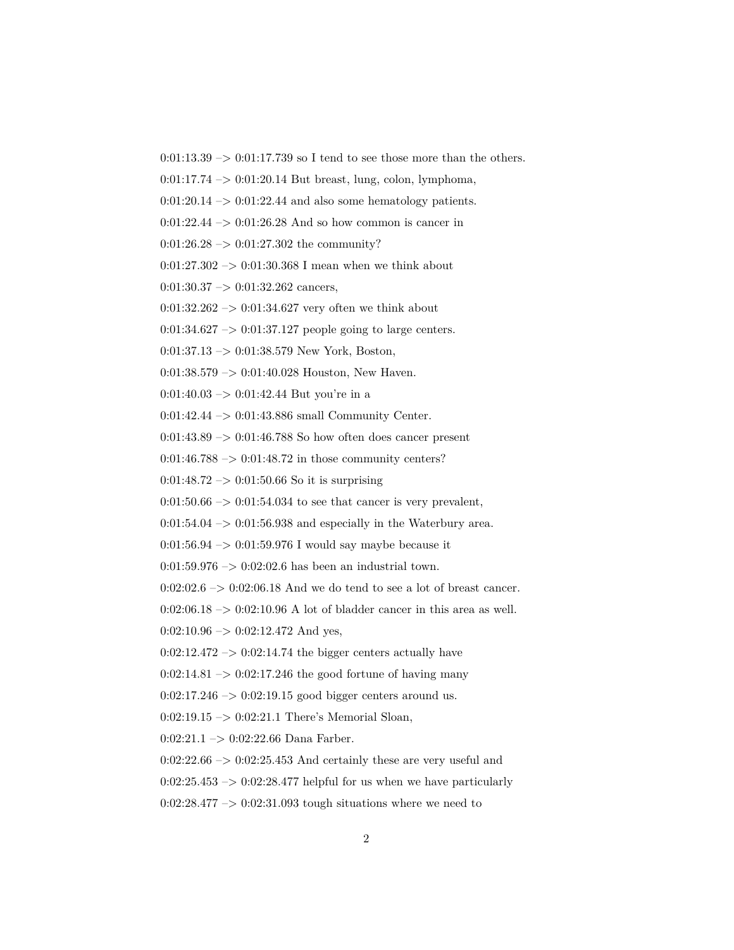$0:01:13.39 \rightarrow 0:01:17.739$  so I tend to see those more than the others.

 $0:01:17.74 \rightarrow 0:01:20.14$  But breast, lung, colon, lymphoma,

 $0:01:20.14 \rightarrow 0:01:22.44$  and also some hematology patients.

 $0:01:22.44 \rightarrow 0:01:26.28$  And so how common is cancer in

 $0:01:26.28 \rightarrow 0:01:27.302$  the community?

0:01:27.302  $\rightarrow$  0:01:30.368 I mean when we think about

 $0:01:30.37 \rightarrow 0:01:32.262$  cancers,

 $0:01:32.262 \rightarrow 0:01:34.627$  very often we think about

 $0:01:34.627 \rightarrow 0:01:37.127$  people going to large centers.

 $0:01:37.13 \rightarrow 0:01:38.579$  New York, Boston,

 $0:01:38.579 \rightarrow 0:01:40.028$  Houston, New Haven.

0:01:40.03 –> 0:01:42.44 But you're in a

0:01:42.44 –> 0:01:43.886 small Community Center.

 $0:01:43.89 \rightarrow 0:01:46.788$  So how often does cancer present

 $0:01:46.788 \rightarrow 0:01:48.72$  in those community centers?

 $0:01:48.72 \rightarrow 0:01:50.66$  So it is surprising

 $0:01:50.66 \rightarrow 0:01:54.034$  to see that cancer is very prevalent,

 $0:01:54.04 \rightarrow 0:01:56.938$  and especially in the Waterbury area.

 $0:01:56.94 \rightarrow 0:01:59.976$  I would say maybe because it

 $0:01:59.976 \rightarrow 0:02:02.6$  has been an industrial town.

 $0:02:02.6 \rightarrow 0:02:06.18$  And we do tend to see a lot of breast cancer.

 $0:02:06.18 \rightarrow 0:02:10.96$  A lot of bladder cancer in this area as well.

 $0:02:10.96 \rightarrow 0:02:12.472$  And yes,

 $0:02:12.472 \rightarrow 0:02:14.74$  the bigger centers actually have

 $0:02:14.81 \rightarrow 0:02:17.246$  the good fortune of having many

 $0:02:17.246 \rightarrow 0:02:19.15$  good bigger centers around us.

0:02:19.15 –> 0:02:21.1 There's Memorial Sloan,

0:02:21.1 –> 0:02:22.66 Dana Farber.

 $0:02:22.66 \rightarrow 0:02:25.453$  And certainly these are very useful and

 $0:02:25.453 \rightarrow 0:02:28.477$  helpful for us when we have particularly

 $0:02:28.477 \rightarrow 0:02:31.093$  tough situations where we need to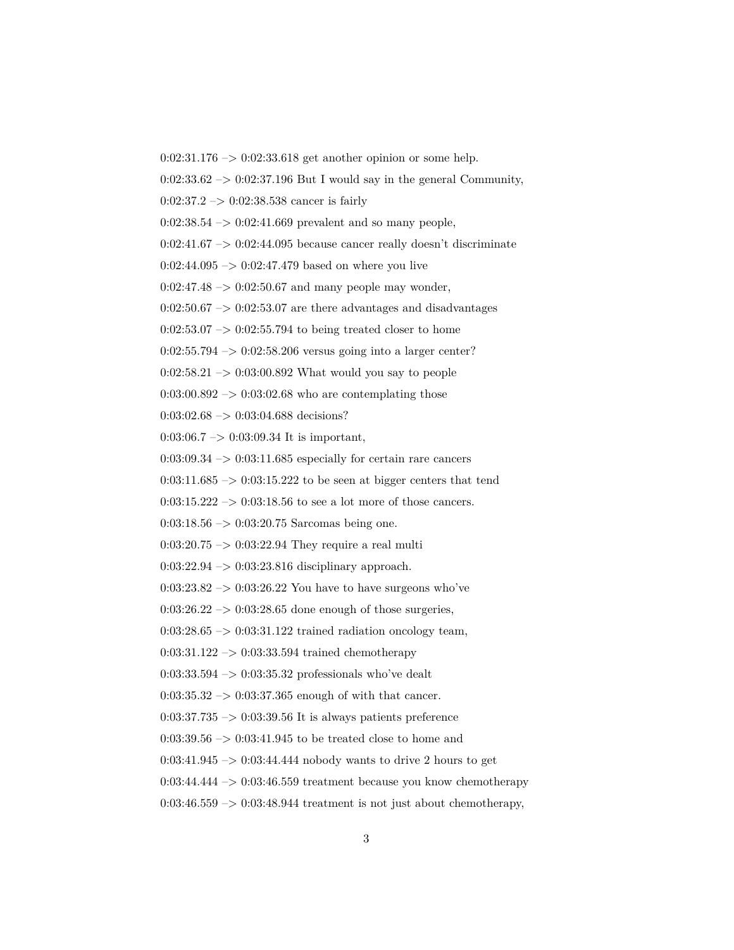0:02:31.176 –> 0:02:33.618 get another opinion or some help.

 $0:02:33.62 \rightarrow 0:02:37.196$  But I would say in the general Community,

 $0:02:37.2 \rightarrow 0:02:38.538$  cancer is fairly

 $0:02:38.54 \rightarrow 0:02:41.669$  prevalent and so many people,

 $0:02:41.67 \rightarrow 0:02:44.095$  because cancer really doesn't discriminate

 $0:02:44.095 \rightarrow 0:02:47.479$  based on where you live

 $0:02:47.48 \rightarrow 0:02:50.67$  and many people may wonder,

 $0:02:50.67 \rightarrow 0:02:53.07$  are there advantages and disadvantages

 $0:02:53.07 \rightarrow 0:02:55.794$  to being treated closer to home

 $0:02:55.794 \rightarrow 0:02:58.206$  versus going into a larger center?

 $0:02:58.21 \rightarrow 0:03:00.892$  What would you say to people

0:03:00.892  $\mathord{\;\rightarrow\;}$  0:03:02.68 who are contemplating those

0:03:02.68 -> 0:03:04.688 decisions?

 $0:03:06.7 \rightarrow 0:03:09.34$  It is important,

 $0:03:09.34 \rightarrow 0:03:11.685$  especially for certain rare cancers

 $0:03:11.685 \rightarrow 0:03:15.222$  to be seen at bigger centers that tend

0:03:15.222  $\rightarrow$  0:03:18.56 to see a lot more of those cancers.

 $0:03:18.56 \rightarrow 0:03:20.75$  Sarcomas being one.

 $0:03:20.75 \rightarrow 0:03:22.94$  They require a real multi

0:03:22.94 –> 0:03:23.816 disciplinary approach.

 $0:03:23.82 \rightarrow 0:03:26.22$  You have to have surgeons who've

 $0:03:26.22 \rightarrow 0:03:28.65$  done enough of those surgeries,

 $0:03:28.65 \rightarrow 0:03:31.122$  trained radiation oncology team,

 $0:03:31.122 \rightarrow 0:03:33.594$  trained chemotherapy

 $0:03:33.594 \rightarrow 0:03:35.32$  professionals who've dealt

 $0:03:35.32 \rightarrow 0:03:37.365$  enough of with that cancer.

 $0:03:37.735 \rightarrow 0:03:39.56$  It is always patients preference

 $0:03:39.56 \rightarrow 0:03:41.945$  to be treated close to home and

 $0:03:41.945 \rightarrow 0:03:44.444$  nobody wants to drive 2 hours to get

 $0:03:44.444 \rightarrow 0:03:46.559$  treatment because you know chemotherapy

 $0:03:46.559 \rightarrow 0:03:48.944$  treatment is not just about chemotherapy,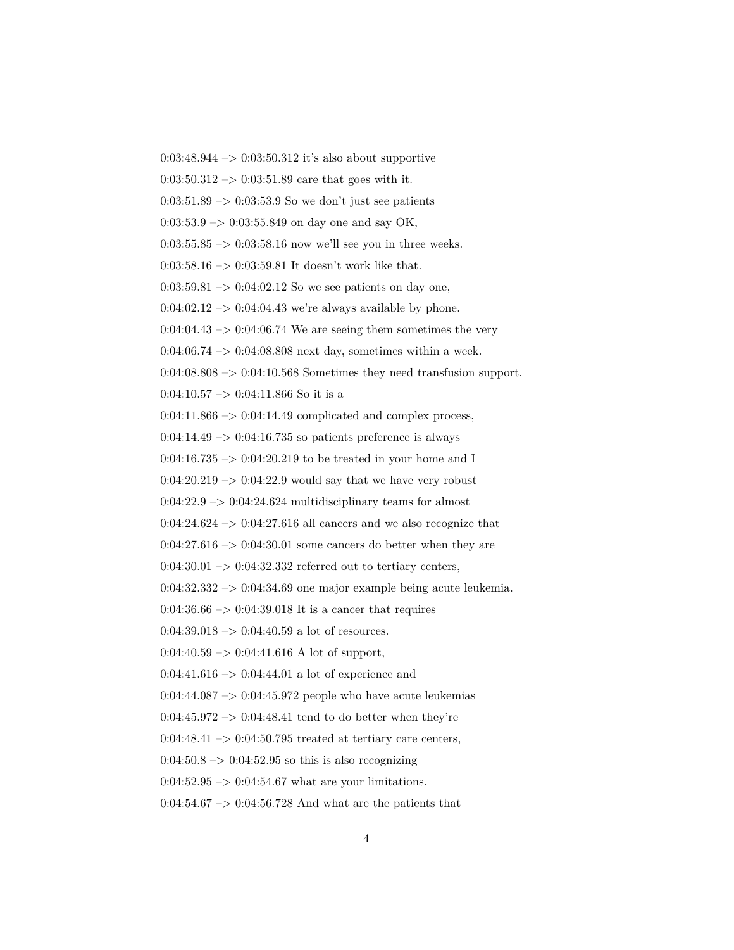$0:03:48.944 \rightarrow 0:03:50.312$  it's also about supportive  $0:03:50.312 \rightarrow 0:03:51.89$  care that goes with it.  $0:03:51.89 \rightarrow 0:03:53.9$  So we don't just see patients  $0:03:53.9 \rightarrow 0:03:55.849$  on day one and say OK, 0:03:55.85  $\rightarrow$  0:03:58.16 now we'll see you in three weeks. 0:03:58.16  $\rightarrow$  0:03:59.81 It doesn't work like that.  $0:03:59.81 \rightarrow 0:04:02.12$  So we see patients on day one,  $0:04:02.12 \rightarrow 0:04:04.43$  we're always available by phone.  $0:04:04.43 \rightarrow 0:04:06.74$  We are seeing them sometimes the very 0:04:06.74  $\rightarrow$  0:04:08.808 next day, sometimes within a week.  $0.04:08.808 \rightarrow 0.04:10.568$  Sometimes they need transfusion support. 0:04:10.57  $->$  0:04:11.866 So it is a  $0:04:11.866 \rightarrow 0:04:14.49$  complicated and complex process,  $0:04:14.49 \rightarrow 0:04:16.735$  so patients preference is always  $0:04:16.735 \rightarrow 0:04:20.219$  to be treated in your home and I  $0:04:20.219 \rightarrow 0:04:22.9$  would say that we have very robust  $0:04:22.9 \rightarrow 0:04:24.624$  multidisciplinary teams for almost  $0:04:24.624 \rightarrow 0:04:27.616$  all cancers and we also recognize that  $0:04:27.616 \rightarrow 0:04:30.01$  some cancers do better when they are  $0:04:30.01 \rightarrow 0:04:32.332$  referred out to tertiary centers,  $0:04:32.332 \rightarrow 0:04:34.69$  one major example being acute leukemia.  $0.04:36.66 \rightarrow 0.04:39.018$  It is a cancer that requires  $0:04:39.018 \rightarrow 0:04:40.59$  a lot of resources.  $0:04:40.59 \rightarrow 0:04:41.616$  A lot of support,  $0:04:41.616 \rightarrow 0:04:44.01$  a lot of experience and  $0:04:44.087 \rightarrow 0:04:45.972$  people who have acute leukemias  $0:04:45.972 \rightarrow 0:04:48.41$  tend to do better when they're  $0:04:48.41 \rightarrow 0:04:50.795$  treated at tertiary care centers,  $0.04:50.8 \rightarrow 0.04:52.95$  so this is also recognizing  $0:04:52.95 \rightarrow 0:04:54.67$  what are your limitations.  $0:04:54.67 \rightarrow 0:04:56.728$  And what are the patients that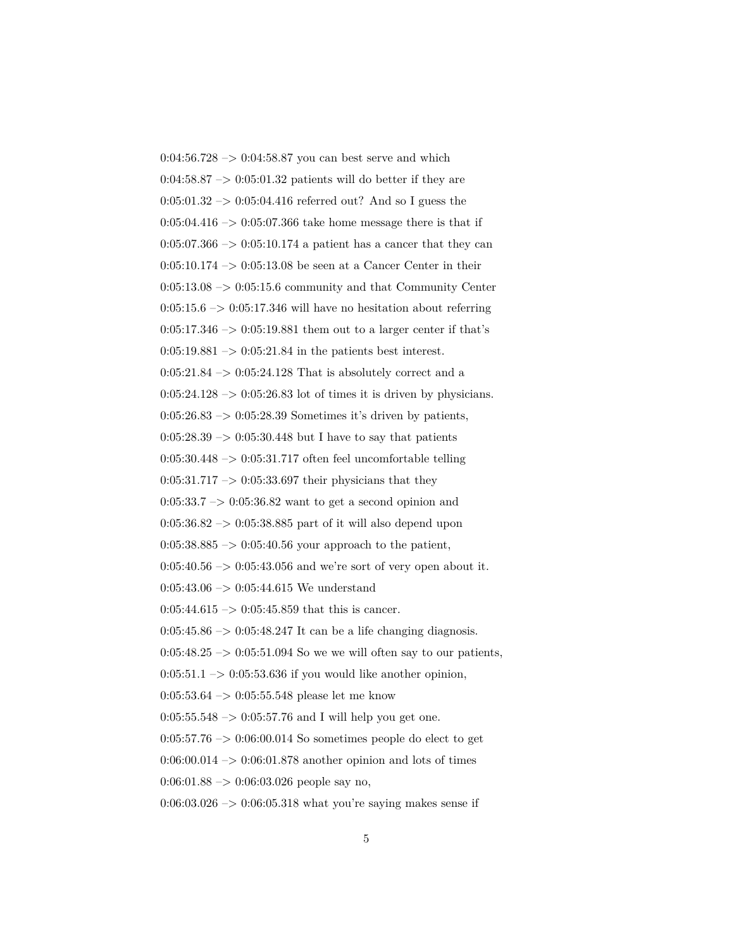0:04:56.728  $\rightarrow$  0:04:58.87 you can best serve and which  $0.04:58.87 \rightarrow 0.05:01.32$  patients will do better if they are  $0:05:01.32 \rightarrow 0:05:04.416$  referred out? And so I guess the  $0:05:04.416 \rightarrow 0:05:07.366$  take home message there is that if  $0:05:07.366 \rightarrow 0:05:10.174$  a patient has a cancer that they can  $0:05:10.174 \rightarrow 0:05:13.08$  be seen at a Cancer Center in their  $0:05:13.08 \rightarrow 0:05:15.6$  community and that Community Center  $0:05:15.6 \rightarrow 0:05:17.346$  will have no hesitation about referring  $0:05:17.346 \rightarrow 0:05:19.881$  them out to a larger center if that's  $0:05:19.881 \rightarrow 0:05:21.84$  in the patients best interest.  $0:05:21.84 \rightarrow 0:05:24.128$  That is absolutely correct and a  $0:05:24.128 \rightarrow 0:05:26.83$  lot of times it is driven by physicians.  $0:05:26.83 \rightarrow 0:05:28.39$  Sometimes it's driven by patients,  $0:05:28.39 \rightarrow 0:05:30.448$  but I have to say that patients  $0:05:30.448 \rightarrow 0:05:31.717$  often feel uncomfortable telling  $0:05:31.717 \rightarrow 0:05:33.697$  their physicians that they  $0:05:33.7 \rightarrow 0:05:36.82$  want to get a second opinion and  $0:05:36.82 \rightarrow 0:05:38.885$  part of it will also depend upon 0:05:38.885  $\Rightarrow$  0:05:40.56 your approach to the patient,  $0:05:40.56 \rightarrow 0:05:43.056$  and we're sort of very open about it. 0:05:43.06  $\mathord{\sim} >$  0:05:44.615 We understand  $0:05:44.615 \rightarrow 0:05:45.859$  that this is cancer.  $0:05:45.86 \rightarrow 0:05:48.247$  It can be a life changing diagnosis.  $0:05:48.25 \rightarrow 0:05:51.094$  So we we will often say to our patients,  $0:05:51.1 \rightarrow 0:05:53.636$  if you would like another opinion, 0:05:53.64 –> 0:05:55.548 please let me know  $0:05:55.548 \rightarrow 0:05:57.76$  and I will help you get one.  $0:05:57.76 \rightarrow 0:06:00.014$  So sometimes people do elect to get  $0:06:00.014 \rightarrow 0:06:01.878$  another opinion and lots of times  $0:06:01.88 \rightarrow 0:06:03.026$  people say no,  $0.06:03.026 \rightarrow 0.06:05.318$  what you're saying makes sense if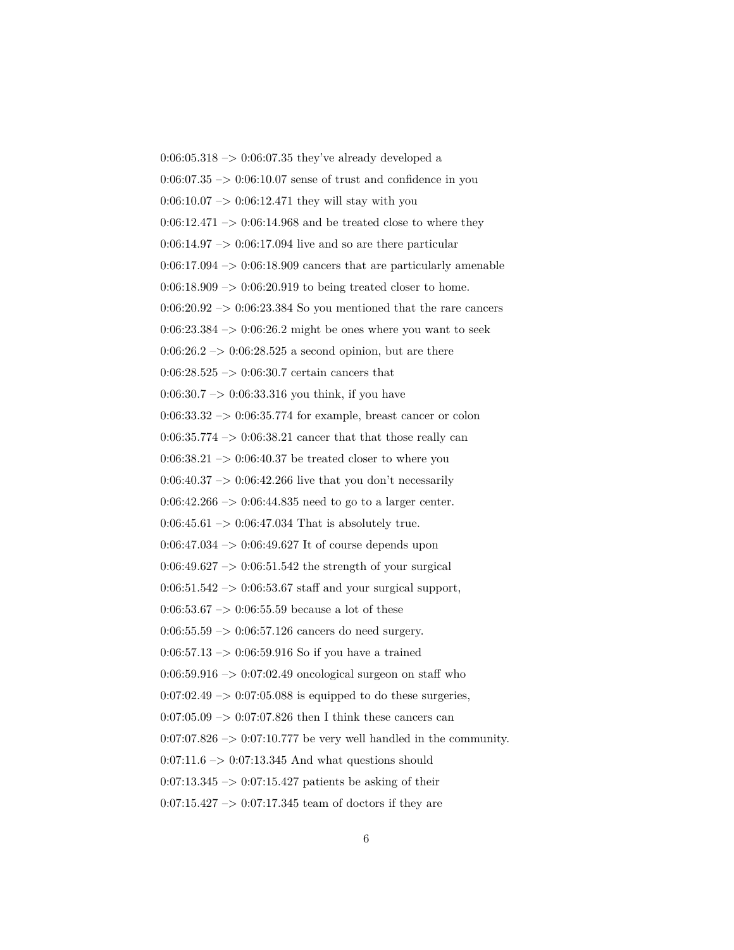0:06:05.318  $\rightarrow$  0:06:07.35 they've already developed a  $0.06:07.35 \rightarrow 0.06:10.07$  sense of trust and confidence in you  $0:06:10.07 \rightarrow 0:06:12.471$  they will stay with you  $0:06:12.471 \rightarrow 0:06:14.968$  and be treated close to where they  $0.06:14.97 \rightarrow 0.06:17.094$  live and so are there particular  $0:06:17.094 \rightarrow 0:06:18.909$  cancers that are particularly amenable  $0:06:18.909 \rightarrow 0:06:20.919$  to being treated closer to home.  $0:06:20.92 \rightarrow 0:06:23.384$  So you mentioned that the rare cancers  $0:06:23.384 \rightarrow 0:06:26.2$  might be ones where you want to seek  $0:06:26.2 \rightarrow 0:06:28.525$  a second opinion, but are there  $0:06:28.525 \rightarrow 0:06:30.7$  certain cancers that  $0:06:30.7 \rightarrow 0:06:33.316$  you think, if you have 0:06:33.32 –> 0:06:35.774 for example, breast cancer or colon  $0:06:35.774 \rightarrow 0:06:38.21$  cancer that that those really can  $0.06:38.21 \rightarrow 0.06:40.37$  be treated closer to where you  $0.06:40.37 \rightarrow 0.06:42.266$  live that you don't necessarily  $0:06:42.266 \rightarrow 0:06:44.835$  need to go to a larger center.  $0:06:45.61 \rightarrow 0:06:47.034$  That is absolutely true.  $0.06:47.034 \rightarrow 0.06:49.627$  It of course depends upon  $0:06:49.627 \rightarrow 0:06:51.542$  the strength of your surgical  $0:06:51.542 \rightarrow 0:06:53.67$  staff and your surgical support, 0:06:53.67  $\rightarrow$  0:06:55.59 because a lot of these  $0:06:55.59 \rightarrow 0:06:57.126$  cancers do need surgery.  $0:06:57.13 \rightarrow 0:06:59.916$  So if you have a trained  $0:06:59.916 \rightarrow 0:07:02.49$  oncological surgeon on staff who  $0.07:02.49 \rightarrow 0.07:05.088$  is equipped to do these surgeries,  $0.07:05.09 \rightarrow 0.07:07.826$  then I think these cancers can  $0:07:07.826 \rightarrow 0:07:10.777$  be very well handled in the community.  $0:07:11.6 \rightarrow 0:07:13.345$  And what questions should  $0:07:13.345 \rightarrow 0:07:15.427$  patients be asking of their  $0:07:15.427 \rightarrow 0:07:17.345$  team of doctors if they are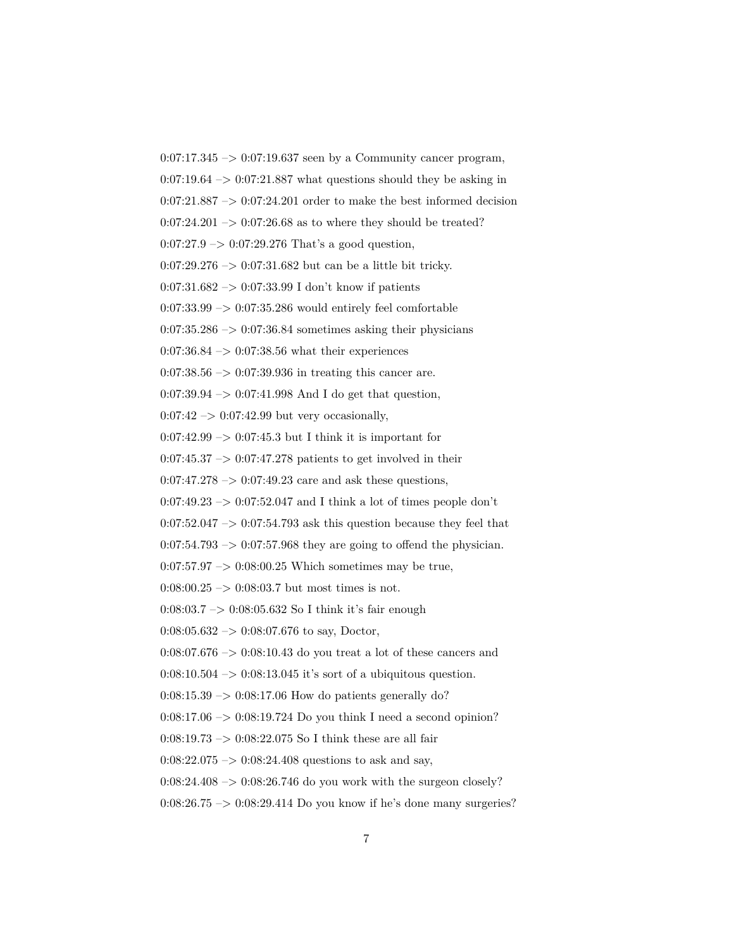$0:07:17.345 \rightarrow 0:07:19.637$  seen by a Community cancer program,  $0:07:19.64 \rightarrow 0:07:21.887$  what questions should they be asking in  $0:07:21.887 \rightarrow 0:07:24.201$  order to make the best informed decision  $0:07:24.201 \rightarrow 0:07:26.68$  as to where they should be treated?  $0:07:27.9 \rightarrow 0:07:29.276$  That's a good question, 0:07:29.276 –> 0:07:31.682 but can be a little bit tricky. 0:07:31.682 –> 0:07:33.99 I don't know if patients  $0:07:33.99 \rightarrow 0:07:35.286$  would entirely feel comfortable  $0.07:35.286 \rightarrow 0.07:36.84$  sometimes asking their physicians 0:07:36.84  $\rightarrow$  0:07:38.56 what their experiences  $0:07:38.56 \rightarrow 0:07:39.936$  in treating this cancer are. 0:07:39.94 –> 0:07:41.998 And I do get that question,  $0:07:42 \rightarrow 0:07:42.99$  but very occasionally,  $0:07:42.99 \rightarrow 0:07:45.3$  but I think it is important for  $0:07:45.37 \rightarrow 0:07:47.278$  patients to get involved in their  $0:07:47.278 \rightarrow 0:07:49.23$  care and ask these questions,  $0:07:49.23 \rightarrow 0:07:52.047$  and I think a lot of times people don't  $0:07:52.047 \rightarrow 0:07:54.793$  ask this question because they feel that  $0:07:54.793 \rightarrow 0:07:57.968$  they are going to offend the physician.  $0:07:57.97 \rightarrow 0:08:00.25$  Which sometimes may be true,  $0:08:00.25 \rightarrow 0:08:03.7$  but most times is not. 0:08:03.7 –> 0:08:05.632 So I think it's fair enough  $0:08:05.632 \rightarrow 0:08:07.676$  to say, Doctor,  $0:08:07.676 \rightarrow 0:08:10.43$  do you treat a lot of these cancers and  $0:08:10.504 \rightarrow 0:08:13.045$  it's sort of a ubiquitous question.  $0:08:15.39 \rightarrow 0:08:17.06$  How do patients generally do?  $0:08:17.06 \rightarrow 0:08:19.724$  Do you think I need a second opinion? 0:08:19.73 –> 0:08:22.075 So I think these are all fair  $0.08:22.075 \rightarrow 0.08:24.408$  questions to ask and say,  $0:08:24.408 \rightarrow 0:08:26.746$  do you work with the surgeon closely?  $0:08:26.75 \rightarrow 0:08:29.414$  Do you know if he's done many surgeries?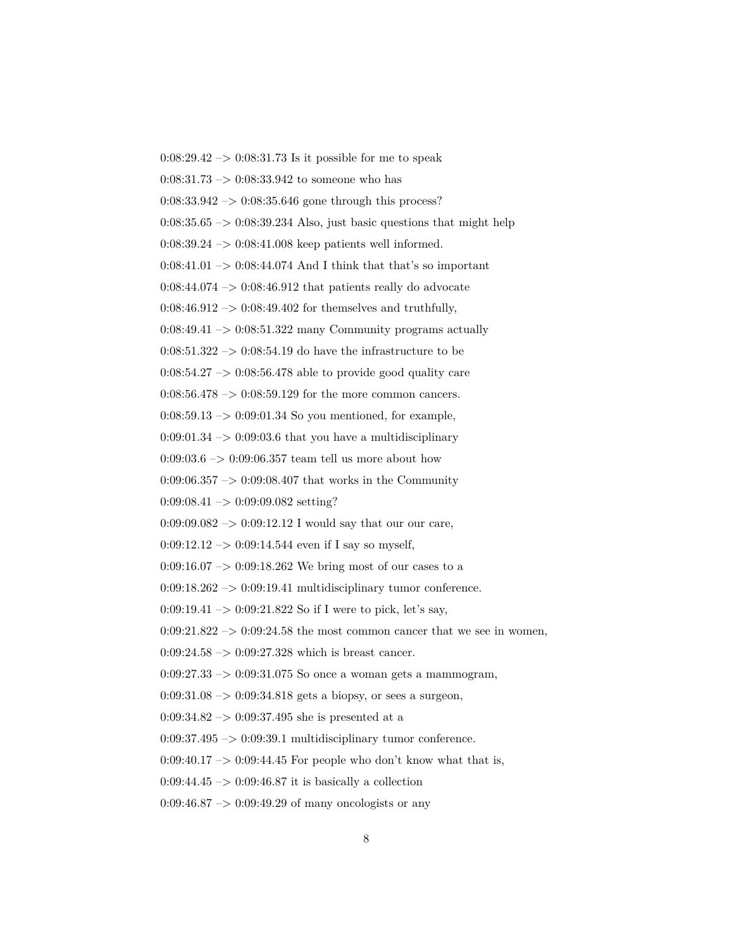$0:08:29.42 \rightarrow 0:08:31.73$  Is it possible for me to speak  $0:08:31.73 \rightarrow 0:08:33.942$  to someone who has  $0:08:33.942 \rightarrow 0:08:35.646$  gone through this process?  $0:08:35.65 \rightarrow 0:08:39.234$  Also, just basic questions that might help  $0:08:39.24 \rightarrow 0:08:41.008$  keep patients well informed.  $0:08:41.01 \rightarrow 0:08:44.074$  And I think that that's so important  $0.08\mathpunct:44.074 \rightarrow 0.08\mathpunct:46.912$  that patients really do advocate  $0:08:46.912 \rightarrow 0:08:49.402$  for themselves and truthfully,  $0:08:49.41 \rightarrow 0:08:51.322$  many Community programs actually  $0.08:51.322 \rightarrow 0.08:54.19$  do have the infrastructure to be  $0.08:54.27 \rightarrow 0.08:56.478$  able to provide good quality care 0:08:56.478 –> 0:08:59.129 for the more common cancers.  $0:08:59.13 \rightarrow 0:09:01.34$  So you mentioned, for example,  $0:09:01.34 \rightarrow 0:09:03.6$  that you have a multidisciplinary  $0:09:03.6 \rightarrow 0:09:06.357$  team tell us more about how  $0:09:06.357 \rightarrow 0:09:08.407$  that works in the Community  $0:09:08.41 \rightarrow 0:09:09.082$  setting?  $0:09:09.082 \rightarrow 0:09:12.12$  I would say that our our care, 0:09:12.12  $\rightarrow$  0:09:14.544 even if I say so myself, 0:09:16.07 –> 0:09:18.262 We bring most of our cases to a  $0:09:18.262 \rightarrow 0:09:19.41$  multidisciplinary tumor conference. 0:09:19.41  $\rightarrow$  0:09:21.822 So if I were to pick, let's say,  $0:09:21.822 \rightarrow 0:09:24.58$  the most common cancer that we see in women,  $0:09:24.58 \rightarrow 0:09:27.328$  which is breast cancer.  $0.09:27.33 \rightarrow 0.09:31.075$  So once a woman gets a mammogram,  $0:09:31.08 \rightarrow 0:09:34.818$  gets a biopsy, or sees a surgeon, 0:09:34.82 –> 0:09:37.495 she is presented at a  $0:09:37.495 \rightarrow 0:09:39.1$  multidisciplinary tumor conference.  $0:09:40.17 \rightarrow 0:09:44.45$  For people who don't know what that is,  $0:09:44.45 \rightarrow 0:09:46.87$  it is basically a collection

 $0.09:46.87 \rightarrow 0.09:49.29$  of many oncologists or any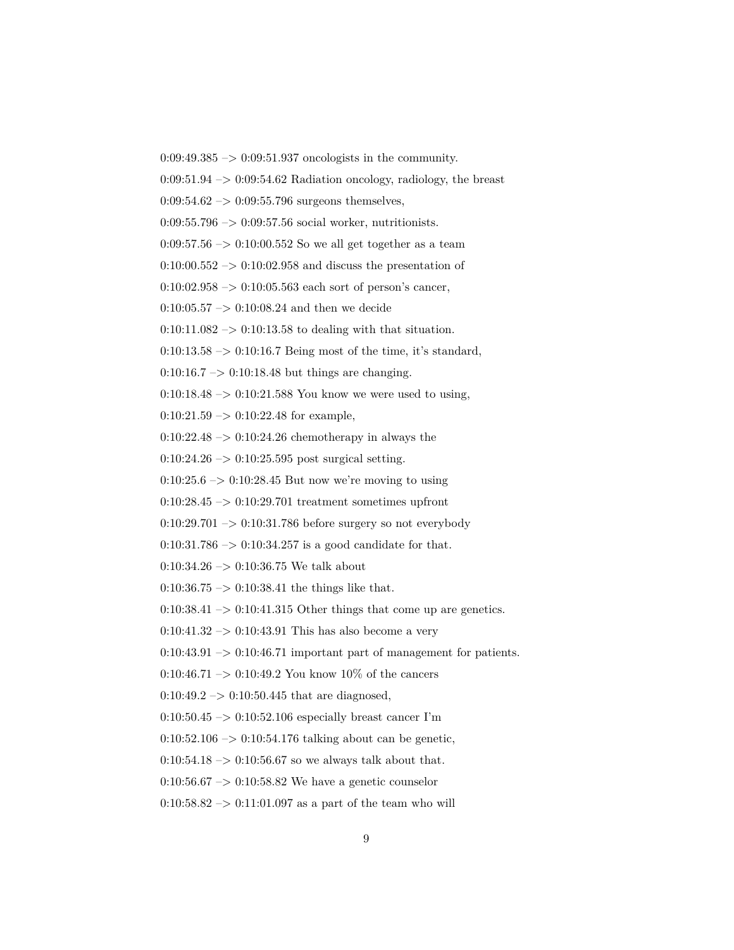$0:09:49.385 \rightarrow 0:09:51.937$  oncologists in the community.

 $0.09:51.94 \rightarrow 0.09:54.62$  Radiation oncology, radiology, the breast

 $0.09:54.62 \rightarrow 0.09:55.796$  surgeons themselves,

0:09:55.796  $\rightarrow$  0:09:57.56 social worker, nutritionists.

 $0.09:57.56 \rightarrow 0.10:00.552$  So we all get together as a team

 $0:10:00.552 \rightarrow 0:10:02.958$  and discuss the presentation of

 $0:10:02.958 \rightarrow 0:10:05.563$  each sort of person's cancer,

 $0:10:05.57 \rightarrow 0:10:08.24$  and then we decide

 $0:10:11.082 \rightarrow 0:10:13.58$  to dealing with that situation.

 $0:10:13.58 \rightarrow 0:10:16.7$  Being most of the time, it's standard,

 $0:10:16.7 \rightarrow 0:10:18.48$  but things are changing.

0:10:18.48 –> 0:10:21.588 You know we were used to using,

 $0:10:21.59 \rightarrow 0:10:22.48$  for example,

 $0:10:22.48 \rightarrow 0:10:24.26$  chemotherapy in always the

 $0:10:24.26 \rightarrow 0:10:25.595$  post surgical setting.

 $0:10:25.6 \rightarrow 0:10:28.45$  But now we're moving to using

 $0:10:28.45 \rightarrow 0:10:29.701$  treatment sometimes upfront

 $0:10:29.701 \rightarrow 0:10:31.786$  before surgery so not everybody

 $0:10:31.786 \rightarrow 0:10:34.257$  is a good candidate for that.

 $0:10:34.26 \rightarrow 0:10:36.75$  We talk about

 $0:10:36.75 \rightarrow 0:10:38.41$  the things like that.

 $0:10:38.41 \rightarrow 0:10:41.315$  Other things that come up are genetics.

 $0:10:41.32 \rightarrow 0:10:43.91$  This has also become a very

 $0:10:43.91 \rightarrow 0:10:46.71$  important part of management for patients.

0:10:46.71 –> 0:10:49.2 You know 10% of the cancers

 $0:10:49.2 \rightarrow 0:10:50.445$  that are diagnosed,

 $0:10:50.45 \rightarrow 0:10:52.106$  especially breast cancer I'm

0:10:52.106  $\rightarrow$  0:10:54.176 talking about can be genetic,

 $0:10:54.18 \rightarrow 0:10:56.67$  so we always talk about that.

 $0:10:56.67 \rightarrow 0:10:58.82$  We have a genetic counselor

 $0:10:58.82 \rightarrow 0:11:01.097$  as a part of the team who will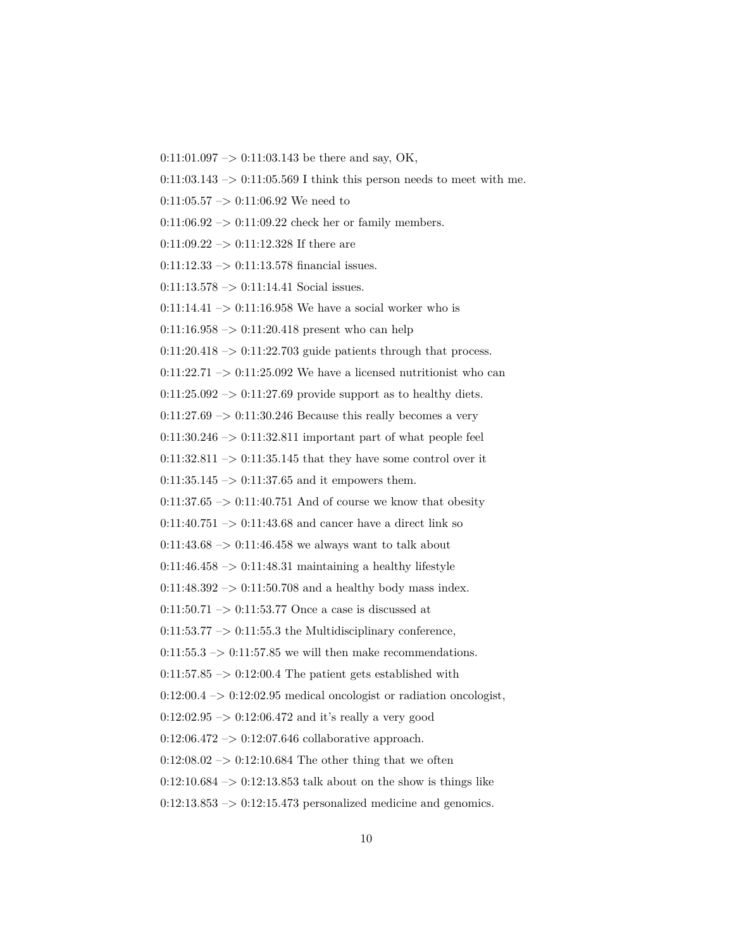$0:11:01.097 \rightarrow 0:11:03.143$  be there and say, OK,

 $0:11:03.143 \rightarrow 0:11:05.569$  I think this person needs to meet with me.

0:11:05.57  $\rightarrow$  0:11:06.92 We need to

 $0:11:06.92 \rightarrow 0:11:09.22$  check her or family members.

 $0:11:09.22 \rightarrow 0:11:12.328$  If there are

 $0:11:12.33 \rightarrow 0:11:13.578$  financial issues.

 $0:11:13.578 \rightarrow 0:11:14.41$  Social issues.

0:11:14.41  $\rightarrow$  0:11:16.958 We have a social worker who is

 $0:11:16.958 \rightarrow 0:11:20.418$  present who can help

 $0:11:20.418 \rightarrow 0:11:22.703$  guide patients through that process.

 $0:11:22.71 \rightarrow 0:11:25.092$  We have a licensed nutritionist who can

 $0:11:25.092 \rightarrow 0:11:27.69$  provide support as to healthy diets.

 $0:11:27.69 \rightarrow 0:11:30.246$  Because this really becomes a very

 $0:11:30.246 \rightarrow 0:11:32.811$  important part of what people feel

 $0:11:32.811 \rightarrow 0:11:35.145$  that they have some control over it

 $0:11:35.145 \rightarrow 0:11:37.65$  and it empowers them.

 $0:11:37.65 \rightarrow 0:11:40.751$  And of course we know that obesity

 $0:11:40.751 \rightarrow 0:11:43.68$  and cancer have a direct link so

 $0:11:43.68 \rightarrow 0:11:46.458$  we always want to talk about

 $0:11:46.458 \rightarrow 0:11:48.31$  maintaining a healthy lifestyle

 $0:11:48.392 \rightarrow 0:11:50.708$  and a healthy body mass index.

 $0:11:50.71 \rightarrow 0:11:53.77$  Once a case is discussed at

 $0:11:53.77 \rightarrow 0:11:55.3$  the Multidisciplinary conference,

 $0:11:55.3 \rightarrow 0:11:57.85$  we will then make recommendations.

 $0:11:57.85 \rightarrow 0:12:00.4$  The patient gets established with

 $0:12:00.4 \rightarrow 0:12:02.95$  medical oncologist or radiation oncologist,

 $0:12:02.95 \rightarrow 0:12:06.472$  and it's really a very good

 $0:12:06.472 \rightarrow 0:12:07.646$  collaborative approach.

 $0:12:08.02 \rightarrow 0:12:10.684$  The other thing that we often

 $0:12:10.684 \rightarrow 0:12:13.853$  talk about on the show is things like

 $0:12:13.853 \rightarrow 0:12:15.473$  personalized medicine and genomics.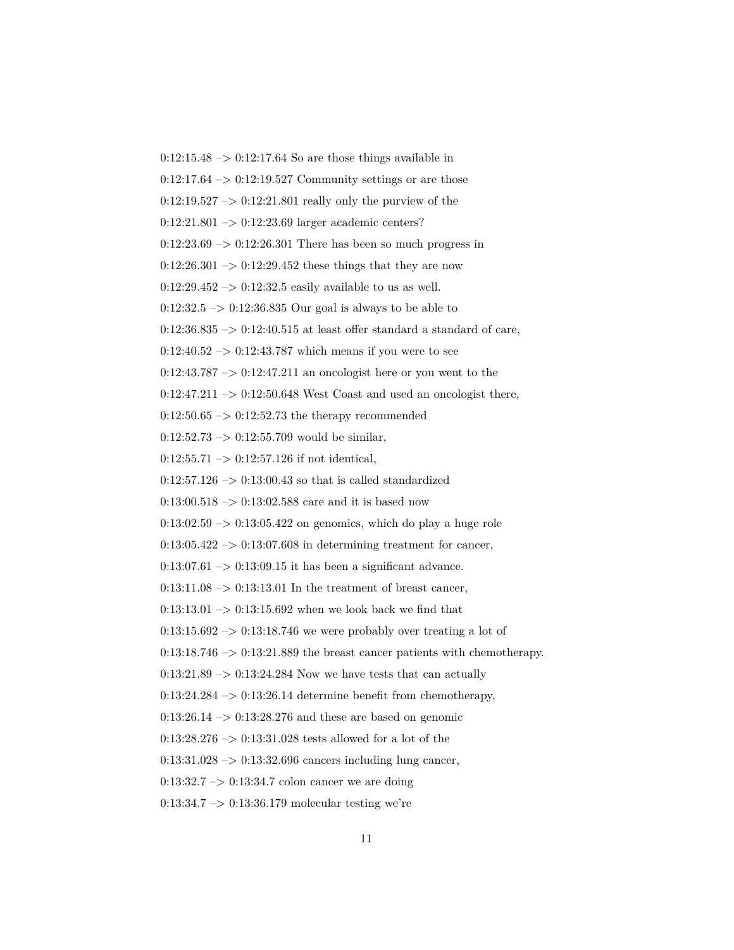$0:12:15.48 \rightarrow 0:12:17.64$  So are those things available in  $0:12:17.64 \rightarrow 0:12:19.527$  Community settings or are those  $0:12:19.527 \rightarrow 0:12:21.801$  really only the purview of the 0:12:21.801 –> 0:12:23.69 larger academic centers?  $0:12:23.69 \rightarrow 0:12:26.301$  There has been so much progress in  $0:12:26.301 \rightarrow 0:12:29.452$  these things that they are now  $0:12:29.452 \rightarrow 0:12:32.5$  easily available to us as well.  $0:12:32.5 \rightarrow 0:12:36.835$  Our goal is always to be able to  $0:12:36.835 \rightarrow 0:12:40.515$  at least offer standard a standard of care,  $0:12:40.52 \rightarrow 0:12:43.787$  which means if you were to see  $0:12:43.787 \rightarrow 0:12:47.211$  an oncologist here or you went to the  $0:12:47.211 \rightarrow 0:12:50.648$  West Coast and used an oncologist there,  $0:12:50.65 \rightarrow 0:12:52.73$  the therapy recommended  $0:12:52.73 \rightarrow 0:12:55.709$  would be similar.  $0:12:55.71 \rightarrow 0:12:57.126$  if not identical,  $0:12:57.126 \rightarrow 0:13:00.43$  so that is called standardized  $0:13:00.518 \rightarrow 0:13:02.588$  care and it is based now  $0:13:02.59 \rightarrow 0:13:05.422$  on genomics, which do play a huge role  $0:13:05.422 \rightarrow 0:13:07.608$  in determining treatment for cancer,  $0:13:07.61 \rightarrow 0:13:09.15$  it has been a significant advance.  $0:13:11.08 \rightarrow 0:13:13.01$  In the treatment of breast cancer, 0:13:13.01  $\rightarrow$  0:13:15.692 when we look back we find that  $0:13:15.692 \rightarrow 0:13:18.746$  we were probably over treating a lot of  $0:13:18.746 \rightarrow 0:13:21.889$  the breast cancer patients with chemotherapy.  $0:13:21.89 \rightarrow 0:13:24.284$  Now we have tests that can actually  $0:13:24.284 \rightarrow 0:13:26.14$  determine benefit from chemotherapy,  $0:13:26.14 \rightarrow 0:13:28.276$  and these are based on genomic  $0:13:28.276 \rightarrow 0:13:31.028$  tests allowed for a lot of the  $0.13:31.028 \rightarrow 0.13:32.696$  cancers including lung cancer,  $0:13:32.7 \rightarrow 0:13:34.7$  colon cancer we are doing 0:13:34.7 –> 0:13:36.179 molecular testing we're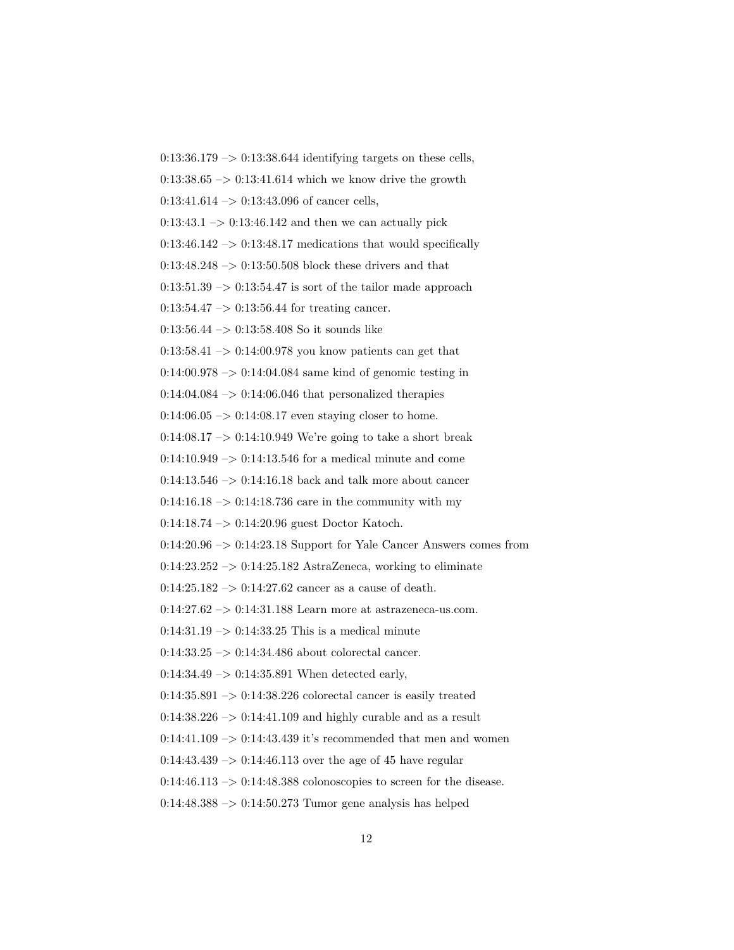$0:13:36.179 \rightarrow 0:13:38.644$  identifying targets on these cells,  $0:13:38.65 \rightarrow 0:13:41.614$  which we know drive the growth  $0:13:41.614 \rightarrow 0:13:43.096$  of cancer cells,  $0:13:43.1 \rightarrow 0:13:46.142$  and then we can actually pick  $0:13:46.142 \rightarrow 0:13:48.17$  medications that would specifically 0:13:48.248  $\rightarrow$  0:13:50.508 block these drivers and that  $0.13:51.39 \rightarrow 0.13:54.47$  is sort of the tailor made approach  $0:13:54.47 \rightarrow 0:13:56.44$  for treating cancer.  $0:13:56.44 \rightarrow 0:13:58.408$  So it sounds like  $0.13:58.41 \rightarrow 0.14:00.978$  you know patients can get that  $0.14:00.978 \rightarrow 0.14:04.084$  same kind of genomic testing in  $0:14:04.084 \rightarrow 0:14:06.046$  that personalized therapies  $0:14:06.05 \rightarrow 0:14:08.17$  even staying closer to home.  $0:14:08.17 \rightarrow 0:14:10.949$  We're going to take a short break  $0:14:10.949 \rightarrow 0:14:13.546$  for a medical minute and come  $0:14:13.546 \rightarrow 0:14:16.18$  back and talk more about cancer  $0:14:16.18 \rightarrow 0:14:18.736$  care in the community with my 0:14:18.74 –> 0:14:20.96 guest Doctor Katoch.  $0:14:20.96 \rightarrow 0:14:23.18$  Support for Yale Cancer Answers comes from  $0:14:23.252 \rightarrow 0:14:25.182$  AstraZeneca, working to eliminate  $0:14:25.182 \rightarrow 0:14:27.62$  cancer as a cause of death.  $0:14:27.62 \rightarrow 0:14:31.188$  Learn more at astrazeneca-us.com.  $0:14:31.19 \rightarrow 0:14:33.25$  This is a medical minute 0:14:33.25 -> 0:14:34.486 about colorectal cancer.  $0:14:34.49 \rightarrow 0:14:35.891$  When detected early,  $0:14:35.891 \rightarrow 0:14:38.226$  colorectal cancer is easily treated  $0:14:38.226 \rightarrow 0:14:41.109$  and highly curable and as a result 0:14:41.109  $\rightarrow$  0:14:43.439 it's recommended that men and women  $0.14:43.439 \rightarrow 0.14:46.113$  over the age of 45 have regular  $0:14:46.113 \rightarrow 0:14:48.388$  colonoscopies to screen for the disease.  $0:14:48.388 \rightarrow 0:14:50.273$  Tumor gene analysis has helped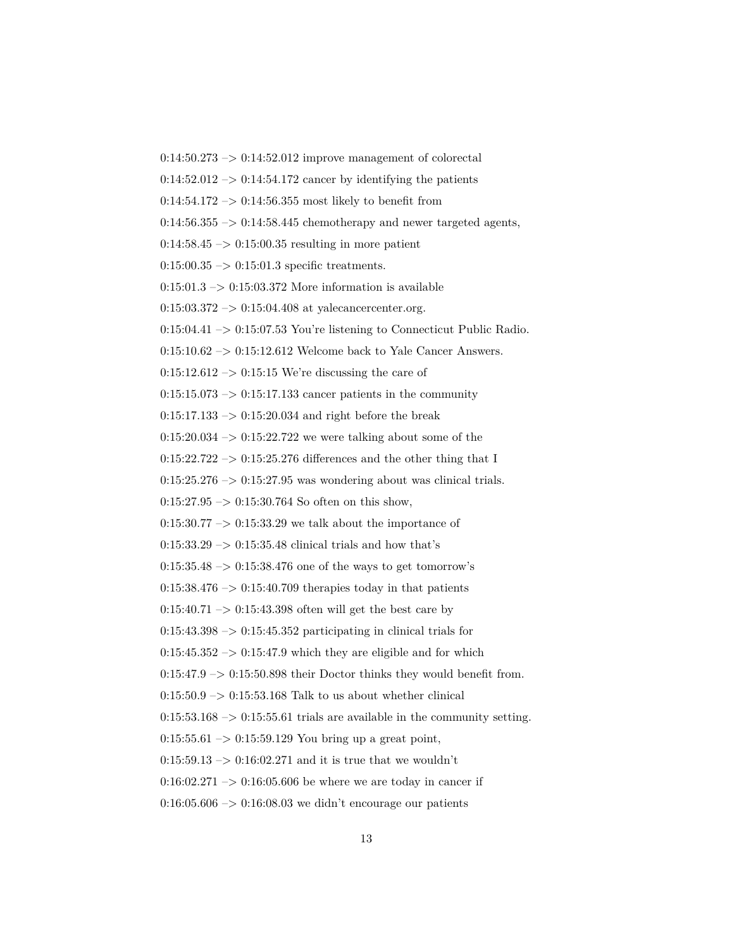$0:14:50.273 \rightarrow 0:14:52.012$  improve management of colorectal  $0:14:52.012 \rightarrow 0:14:54.172$  cancer by identifying the patients  $0:14:54.172 \rightarrow 0:14:56.355 \text{ most likely to benefit from}$  $0:14:56.355 \rightarrow 0:14:58.445$  chemotherapy and newer targeted agents,  $0.14:58.45 \rightarrow 0.15:00.35$  resulting in more patient  $0:15:00.35 \rightarrow 0:15:01.3$  specific treatments.  $0:15:01.3 \rightarrow 0:15:03.372$  More information is available 0:15:03.372 –> 0:15:04.408 at yalecancercenter.org.  $0:15:04.41 \rightarrow 0:15:07.53$  You're listening to Connecticut Public Radio.  $0:15:10.62 \rightarrow 0:15:12.612$  Welcome back to Yale Cancer Answers.  $0:15:12.612 \rightarrow 0:15:15$  We're discussing the care of  $0:15:15.073 \rightarrow 0:15:17.133$  cancer patients in the community  $0:15:17.133 \rightarrow 0:15:20.034$  and right before the break  $0:15:20.034 \rightarrow 0:15:22.722$  we were talking about some of the  $0:15:22.722 \rightarrow 0:15:25.276$  differences and the other thing that I  $0:15:25.276 \rightarrow 0:15:27.95$  was wondering about was clinical trials.  $0:15:27.95 \rightarrow 0:15:30.764$  So often on this show,  $0:15:30.77 \rightarrow 0:15:33.29$  we talk about the importance of  $0:15:33.29 \rightarrow 0:15:35.48 \text{ clinical trials and how that's}$  $0.15:35.48 \rightarrow 0.15:38.476$  one of the ways to get tomorrow's  $0:15:38.476 \rightarrow 0:15:40.709$  therapies today in that patients  $0:15:40.71 \rightarrow 0:15:43.398$  often will get the best care by  $0:15:43.398 \rightarrow 0:15:45.352$  participating in clinical trials for  $0:15:45.352 \rightarrow 0:15:47.9$  which they are eligible and for which  $0:15:47.9 \rightarrow 0:15:50.898$  their Doctor thinks they would benefit from.  $0:15:50.9 \rightarrow 0:15:53.168$  Talk to us about whether clinical  $0:15:53.168 \rightarrow 0:15:55.61$  trials are available in the community setting. 0:15:55.61  $\rightarrow$  0:15:59.129 You bring up a great point,  $0:15:59.13 \rightarrow 0:16:02.271$  and it is true that we wouldn't  $0:16:02.271 \rightarrow 0:16:05.606$  be where we are today in cancer if  $0.16:05.606 \rightarrow 0.16:08.03$  we didn't encourage our patients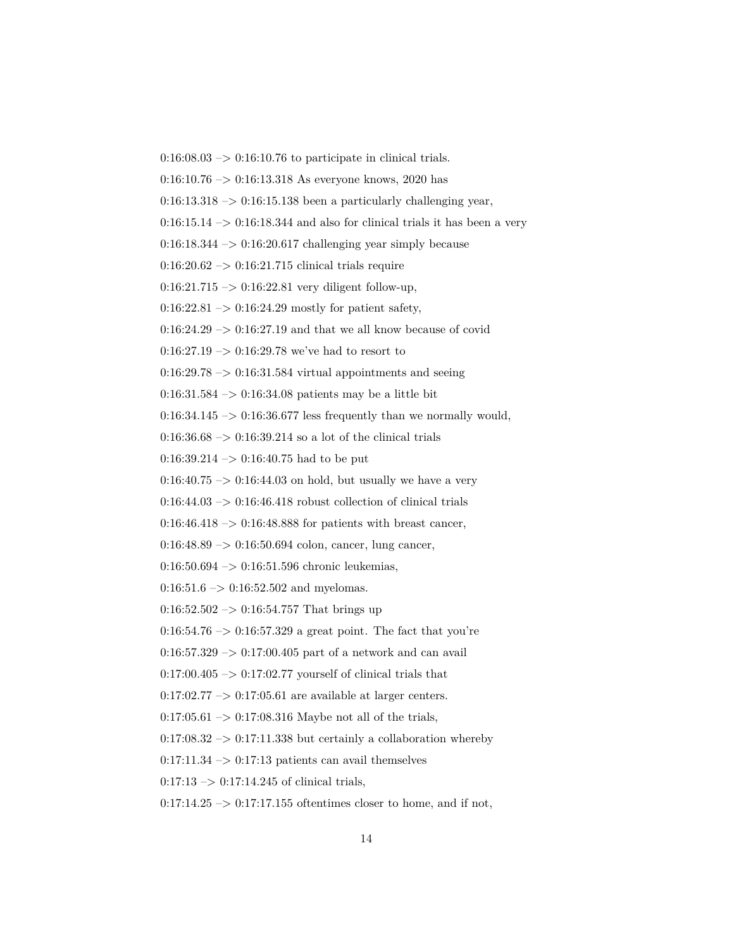0:16:10.76 –> 0:16:13.318 As everyone knows, 2020 has  $0:16:13.318 \rightarrow 0:16:15.138$  been a particularly challenging year,  $0:16:15.14 \rightarrow 0:16:18.344$  and also for clinical trials it has been a very  $0:16:18.344 \rightarrow 0:16:20.617$  challenging year simply because  $0:16:20.62 \rightarrow 0:16:21.715$  clinical trials require  $0:16:21.715 \rightarrow 0:16:22.81$  very diligent follow-up,  $0:16:22.81 \rightarrow 0:16:24.29$  mostly for patient safety,  $0:16:24.29 \rightarrow 0:16:27.19$  and that we all know because of covid  $0:16:27.19 \rightarrow 0:16:29.78$  we've had to resort to  $0.16:29.78 \rightarrow 0.16:31.584$  virtual appointments and seeing 0:16:31.584 –> 0:16:34.08 patients may be a little bit  $0:16:34.145 \rightarrow 0:16:36.677$  less frequently than we normally would,  $0:16:36.68 \rightarrow 0:16:39.214$  so a lot of the clinical trials  $0:16:39.214 \rightarrow 0:16:40.75$  had to be put  $0:16:40.75 \rightarrow 0:16:44.03$  on hold, but usually we have a very  $0:16:44.03 \rightarrow 0:16:46.418$  robust collection of clinical trials  $0:16:46.418 \rightarrow 0:16:48.888$  for patients with breast cancer,  $0:16:48.89 \rightarrow 0:16:50.694$  colon, cancer, lung cancer,  $0:16:50.694 \rightarrow 0:16:51.596$  chronic leukemias,  $0:16:51.6 \rightarrow 0:16:52.502$  and myelomas.  $0:16:52.502 \rightarrow 0:16:54.757$  That brings up  $0.16{:}54.76\ensuremath{\rightarrow}\xspace 0.16{:}57.329$  a great point. The fact that you're  $0:16:57.329 \rightarrow 0:17:00.405$  part of a network and can avail  $0.17:00.405 \rightarrow 0.17:02.77$  yourself of clinical trials that  $0:17:02.77 \rightarrow 0:17:05.61$  are available at larger centers.  $0:17:05.61 \rightarrow 0:17:08.316$  Maybe not all of the trials,  $0:17:08.32 \rightarrow 0:17:11.338$  but certainly a collaboration whereby  $0:17:11.34 \rightarrow 0:17:13$  patients can avail themselves  $0:17:13 \rightarrow 0:17:14.245$  of clinical trials,

 $0:16:08.03 \rightarrow 0:16:10.76$  to participate in clinical trials.

 $0:17:14.25 \rightarrow 0:17:17.155$  oftentimes closer to home, and if not,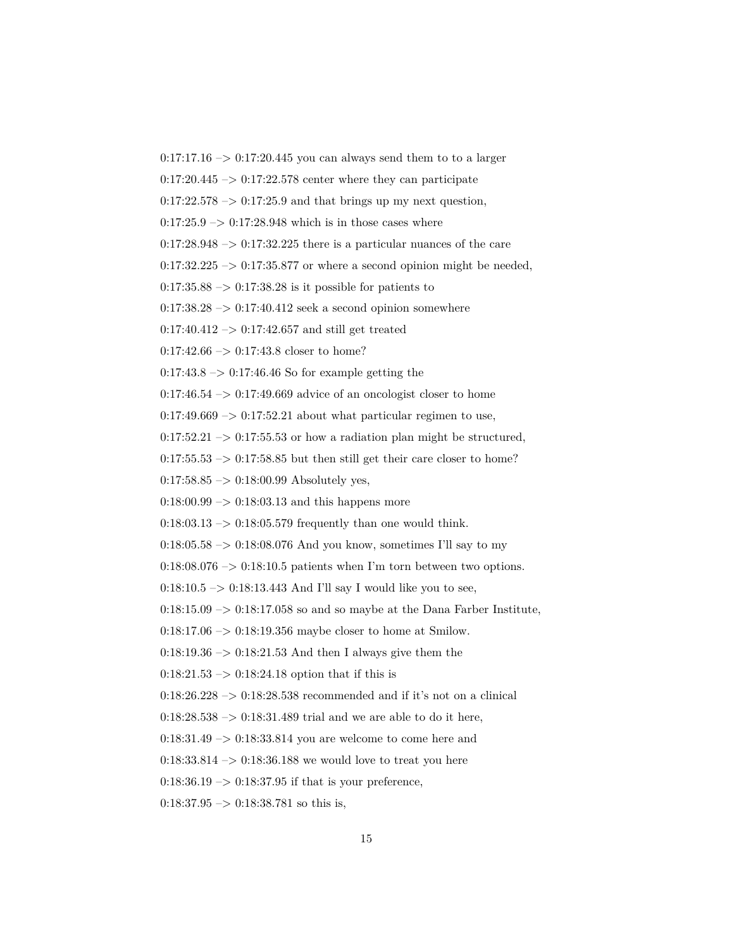$0:17:17.16 \rightarrow 0:17:20.445$  you can always send them to to a larger

 $0.17:20.445 \rightarrow 0.17:22.578$  center where they can participate

 $0:17:22.578 \rightarrow 0:17:25.9$  and that brings up my next question,

 $0:17:25.9 \rightarrow 0:17:28.948$  which is in those cases where

 $0:17:28.948 \rightarrow 0:17:32.225$  there is a particular nuances of the care

 $0:17:32.225 \rightarrow 0:17:35.877$  or where a second opinion might be needed,

 $0.17:35.88 \rightarrow 0.17:38.28$  is it possible for patients to

 $0:17:38.28 \rightarrow 0:17:40.412$  seek a second opinion somewhere

 $0:17:40.412 \rightarrow 0:17:42.657$  and still get treated

 $0:17:42.66 \rightarrow 0:17:43.8$  closer to home?

 $0:17:43.8 \rightarrow 0:17:46.46$  So for example getting the

 $0:17:46.54 \rightarrow 0:17:49.669$  advice of an oncologist closer to home

 $0:17:49.669 \rightarrow 0:17:52.21$  about what particular regimen to use,

 $0:17:52.21 \rightarrow 0:17:55.53$  or how a radiation plan might be structured,

 $0:17:55.53 \rightarrow 0:17:58.85$  but then still get their care closer to home?

 $0:17:58.85 \rightarrow 0:18:00.99$  Absolutely yes,

 $0.18:00.99 \rightarrow 0.18:03.13$  and this happens more

 $0:18:03.13 \rightarrow 0:18:05.579$  frequently than one would think.

 $0:18:05.58 \rightarrow 0:18:08.076$  And you know, sometimes I'll say to my

 $0:18:08.076 \rightarrow 0:18:10.5$  patients when I'm torn between two options.

 $0:18:10.5 \rightarrow 0:18:13.443$  And I'll say I would like you to see,

 $0:18:15.09 \rightarrow 0:18:17.058$  so and so maybe at the Dana Farber Institute,

0:18:17.06 –> 0:18:19.356 maybe closer to home at Smilow.

 $0:18:19.36 \rightarrow 0:18:21.53$  And then I always give them the

 $0:18:21.53 \rightarrow 0:18:24.18$  option that if this is

 $0:18:26.228 \rightarrow 0:18:28.538$  recommended and if it's not on a clinical

 $0:18:28.538 \rightarrow 0:18:31.489$  trial and we are able to do it here,

0:18:31.49 –> 0:18:33.814 you are welcome to come here and

 $0:18:33.814 \rightarrow 0:18:36.188$  we would love to treat you here

 $0:18:36.19 \rightarrow 0:18:37.95$  if that is your preference,

 $0:18:37.95 \rightarrow 0:18:38.781$  so this is,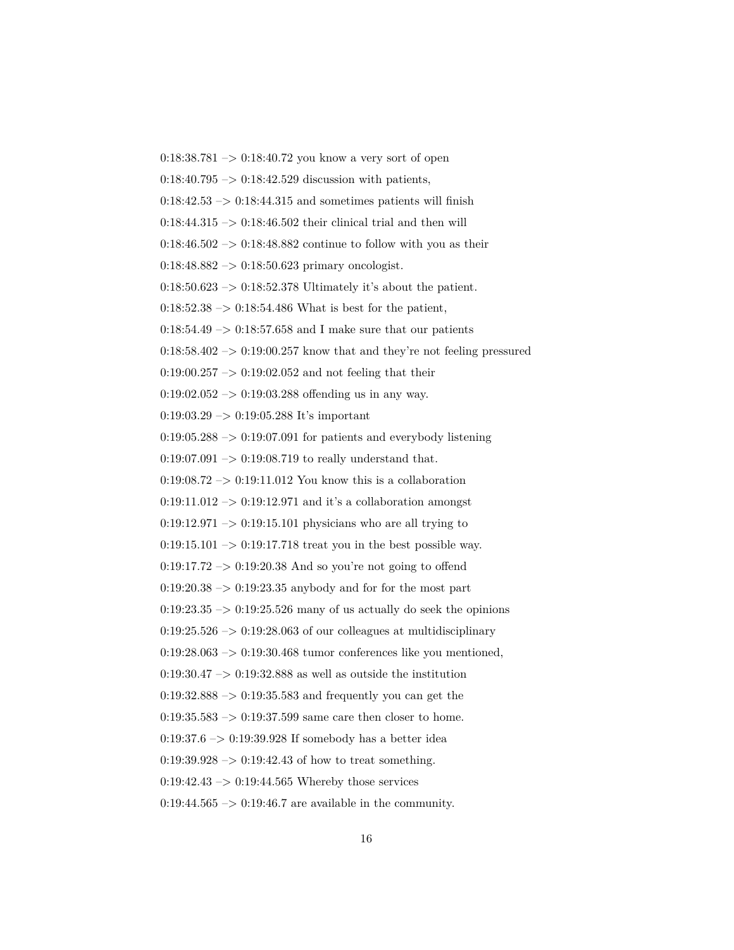$0:18:38.781 \rightarrow 0:18:40.72$  you know a very sort of open  $0:18:40.795 \rightarrow 0:18:42.529$  discussion with patients,  $0:18:42.53 \rightarrow 0:18:44.315$  and sometimes patients will finish  $0:18:44.315 \rightarrow 0:18:46.502$  their clinical trial and then will  $0:18:46.502 \rightarrow 0:18:48.882$  continue to follow with you as their  $0:18:48.882 \rightarrow 0:18:50.623$  primary oncologist.  $0:18:50.623 \rightarrow 0:18:52.378$  Ultimately it's about the patient.  $0:18:52.38 \rightarrow 0:18:54.486$  What is best for the patient,  $0:18:54.49 \rightarrow 0:18:57.658$  and I make sure that our patients  $0.18:58.402 \rightarrow 0.19:00.257$  know that and they're not feeling pressured  $0:19:00.257 \rightarrow 0:19:02.052$  and not feeling that their  $0:19:02.052 \rightarrow 0:19:03.288$  offending us in any way. 0:19:03.29 –> 0:19:05.288 It's important  $0:19:05.288 \rightarrow 0:19:07.091$  for patients and everybody listening  $0:19:07.091 \rightarrow 0:19:08.719$  to really understand that.  $0.19:08.72 \rightarrow 0.19:11.012$  You know this is a collaboration  $0:19:11.012 \rightarrow 0:19:12.971$  and it's a collaboration amongst  $0:19:12.971 \rightarrow 0:19:15.101$  physicians who are all trying to  $0:19:15.101 \rightarrow 0:19:17.718$  treat you in the best possible way.  $0:19:17.72 \rightarrow 0:19:20.38$  And so you're not going to offend  $0:19:20.38 \rightarrow 0:19:23.35$  anybody and for for the most part  $0:19:23.35 \rightarrow 0:19:25.526$  many of us actually do seek the opinions  $0:19:25.526 \rightarrow 0:19:28.063$  of our colleagues at multidisciplinary  $0:19:28.063 \rightarrow 0:19:30.468$  tumor conferences like you mentioned,  $0:19:30.47 \rightarrow 0:19:32.888$  as well as outside the institution  $0:19:32.888 \rightarrow 0:19:35.583$  and frequently you can get the  $0:19:35.583 \rightarrow 0:19:37.599$  same care then closer to home. 0:19:37.6  $\rightarrow$  0:19:39.928 If somebody has a better idea  $0:19:39.928 \rightarrow 0:19:42.43$  of how to treat something.  $0:19:42.43 \rightarrow 0:19:44.565$  Whereby those services  $0:19:44.565 \rightarrow 0:19:46.7$  are available in the community.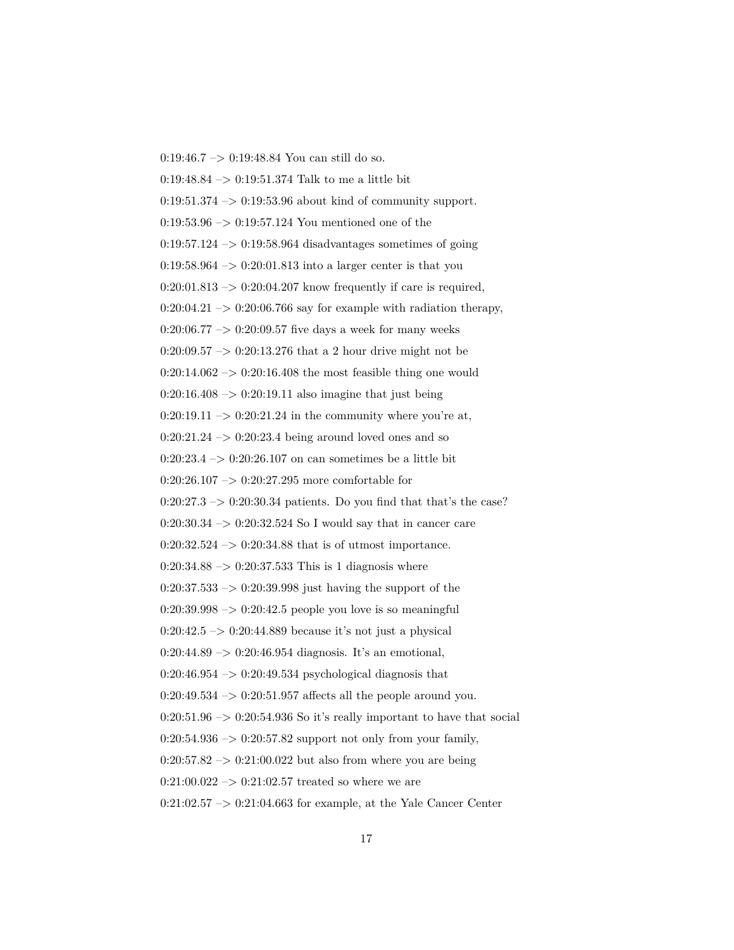0:19:46.7 –> 0:19:48.84 You can still do so. 0:19:48.84 –> 0:19:51.374 Talk to me a little bit  $0:19:51.374 \rightarrow 0:19:53.96$  about kind of community support.  $0:19:53.96 \rightarrow 0:19:57.124$  You mentioned one of the  $0:19:57.124 \rightarrow 0:19:58.964$  disadvantages sometimes of going  $0.19:58.964 \rightarrow 0.20:01.813$  into a larger center is that you  $0:20:01.813 \rightarrow 0:20:04.207$  know frequently if care is required,  $0:20:04.21 \rightarrow 0:20:06.766$  say for example with radiation therapy, 0:20:06.77 –> 0:20:09.57 five days a week for many weeks  $0:20:09.57 \rightarrow 0:20:13.276$  that a 2 hour drive might not be  $0:20:14.062 \rightarrow 0:20:16.408$  the most feasible thing one would  $0:20:16.408 \rightarrow 0:20:19.11$  also imagine that just being  $0:20:19.11 \rightarrow 0:20:21.24$  in the community where you're at,  $0:20:21.24 \rightarrow 0:20:23.4$  being around loved ones and so  $0:20:23.4 \rightarrow 0:20:26.107$  on can sometimes be a little bit  $0:20:26.107 \rightarrow 0:20:27.295$  more comfortable for  $0:20:27.3 \rightarrow 0:20:30.34$  patients. Do you find that that's the case?  $0:20:30.34 \rightarrow 0:20:32.524$  So I would say that in cancer care  $0:20:32.524 \rightarrow 0:20:34.88$  that is of utmost importance.  $0:20:34.88 \rightarrow 0:20:37.533$  This is 1 diagnosis where  $0:20:37.533 \rightarrow 0:20:39.998$  just having the support of the  $0:20:39.998 \rightarrow 0:20:42.5$  people you love is so meaningful  $0:20:42.5 \rightarrow 0:20:44.889$  because it's not just a physical  $0:20:44.89 \rightarrow 0:20:46.954 \text{ diagnosis. It's an emotional,}$  $0:20:46.954 \rightarrow 0:20:49.534$  psychological diagnosis that  $0:20:49.534 \rightarrow 0:20:51.957$  affects all the people around you.  $0:20:51.96 \rightarrow 0:20:54.936$  So it's really important to have that social  $0:20:54.936 \rightarrow 0:20:57.82$  support not only from your family,  $0:20:57.82 \rightarrow 0:21:00.022$  but also from where you are being  $0:21:00.022 \rightarrow 0:21:02.57$  treated so where we are  $0:21:02.57 \rightarrow 0:21:04.663$  for example, at the Yale Cancer Center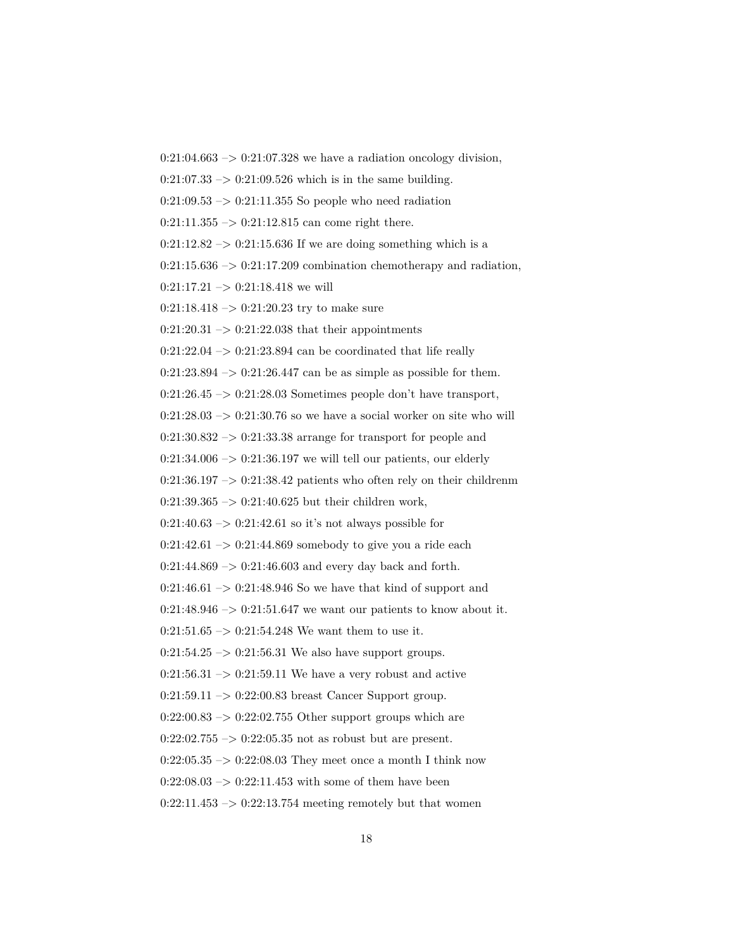$0:21:04.663 \rightarrow 0:21:07.328$  we have a radiation oncology division,  $0:21:07.33 \rightarrow 0:21:09.526$  which is in the same building.  $0:21:09.53 \rightarrow 0:21:11.355$  So people who need radiation  $0:21:11.355 \rightarrow 0:21:12.815$  can come right there.  $0:21:12.82 \rightarrow 0:21:15.636$  If we are doing something which is a  $0:21:15.636 \rightarrow 0:21:17.209$  combination chemotherapy and radiation,  $0:21:17.21 \rightarrow 0:21:18.418$  we will  $0:21:18.418 \rightarrow 0:21:20.23$  try to make sure  $0:21:20.31 \rightarrow 0:21:22.038$  that their appointments  $0:21:22.04 \rightarrow 0:21:23.894$  can be coordinated that life really  $0:21:23.894 \rightarrow 0:21:26.447$  can be as simple as possible for them.  $0:21:26.45 \rightarrow 0:21:28.03$  Sometimes people don't have transport,  $0:21:28.03 \rightarrow 0:21:30.76$  so we have a social worker on site who will  $0:21:30.832 \rightarrow 0:21:33.38$  arrange for transport for people and  $0:21:34.006 \rightarrow 0:21:36.197$  we will tell our patients, our elderly  $0:21:36.197 \rightarrow 0:21:38.42$  patients who often rely on their childrenm  $0:21:39.365 \rightarrow 0:21:40.625$  but their children work,  $0:21:40.63 \rightarrow 0:21:42.61$  so it's not always possible for  $0:21:42.61 \rightarrow 0:21:44.869$  somebody to give you a ride each  $0:21:44.869 \rightarrow 0:21:46.603$  and every day back and forth.  $0:21:46.61 \rightarrow 0:21:48.946$  So we have that kind of support and  $0:21:48.946 \rightarrow 0:21:51.647$  we want our patients to know about it.  $0:21:51.65 \rightarrow 0:21:54.248$  We want them to use it.  $0:21:54.25 \rightarrow 0:21:56.31$  We also have support groups.  $0:21:56.31 \rightarrow 0:21:59.11$  We have a very robust and active  $0:21:59.11 \rightarrow 0:22:00.83$  breast Cancer Support group.  $0:22:00.83 \rightarrow 0:22:02.755$  Other support groups which are  $0:22:02.755 \rightarrow 0:22:05.35$  not as robust but are present.  $0:22:05.35 \rightarrow 0:22:08.03$  They meet once a month I think now  $0:22:08.03 \rightarrow 0:22:11.453$  with some of them have been  $0:22:11.453 \rightarrow 0:22:13.754$  meeting remotely but that women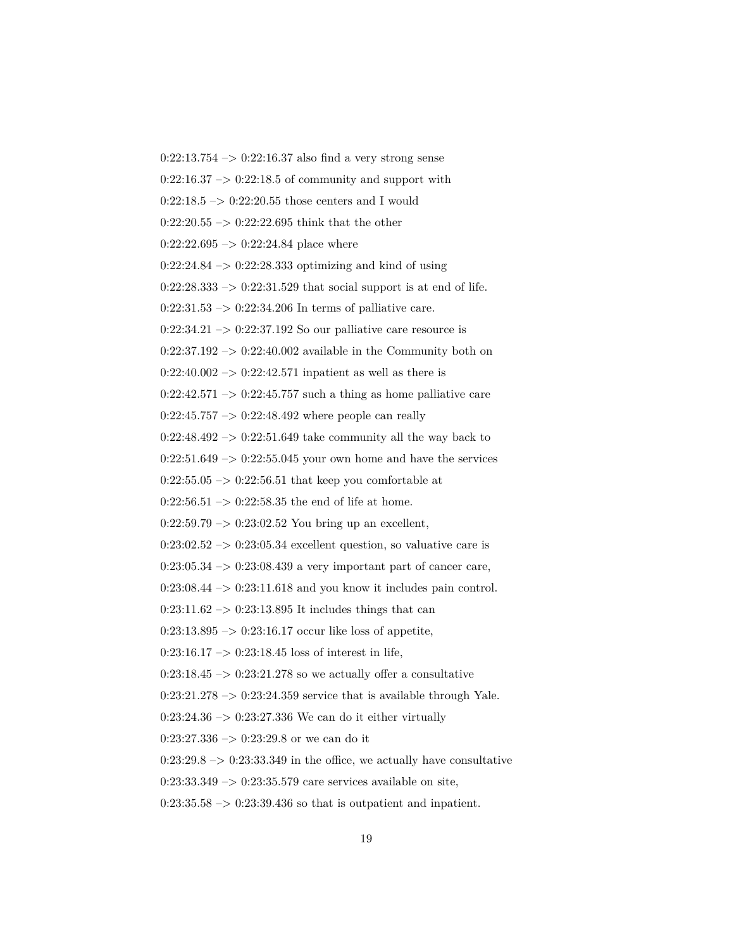$0:22:13.754 \rightarrow 0:22:16.37$  also find a very strong sense  $0:22:16.37 \rightarrow 0:22:18.5$  of community and support with  $0:22:18.5 \rightarrow 0:22:20.55$  those centers and I would  $0:22:20.55 \rightarrow 0:22:22.695$  think that the other  $0:22:22.695 \rightarrow 0:22:24.84$  place where  $0:22:24.84 \rightarrow 0:22:28.333$  optimizing and kind of using  $0:22:28.333\rightarrow 0:22:31.529$  that social support is at end of life.  $0:22:31.53 \rightarrow 0:22:34.206$  In terms of palliative care.  $0:22:34.21 \rightarrow 0:22:37.192$  So our palliative care resource is  $0:22:37.192 \rightarrow 0:22:40.002$  available in the Community both on  $0:22:40.002 \rightarrow 0:22:42.571$  inpatient as well as there is  $0:22:42.571 \rightarrow 0:22:45.757$  such a thing as home palliative care  $0:22:45.757 \rightarrow 0:22:48.492$  where people can really  $0:22:48.492 \rightarrow 0:22:51.649$  take community all the way back to  $0:22:51.649 \rightarrow 0:22:55.045$  your own home and have the services  $0:22:55.05 \rightarrow 0:22:56.51$  that keep you comfortable at  $0:22:56.51 \rightarrow 0:22:58.35$  the end of life at home.  $0:22:59.79 \rightarrow 0:23:02.52$  You bring up an excellent,  $0:23:02.52 \rightarrow 0:23:05.34$  excellent question, so valuative care is  $0:23:05.34 \rightarrow 0:23:08.439$  a very important part of cancer care,  $0:23:08.44 \rightarrow 0:23:11.618$  and you know it includes pain control.  $0:23:11.62 \rightarrow 0:23:13.895$  It includes things that can  $0:23:13.895 \rightarrow 0:23:16.17$  occur like loss of appetite,  $0:23:16.17 \rightarrow 0:23:18.45$  loss of interest in life,  $0:23:18.45 \rightarrow 0:23:21.278$  so we actually offer a consultative  $0:23:21.278 \rightarrow 0:23:24.359$  service that is available through Yale.  $0:23:24.36 \rightarrow 0:23:27.336$  We can do it either virtually  $0:23:27.336 \rightarrow 0:23:29.8$  or we can do it  $0:23:29.8 \rightarrow 0:23:33.349$  in the office, we actually have consultative  $0:23:33.349 \rightarrow 0:23:35.579$  care services available on site,  $0:23:35.58 \rightarrow 0:23:39.436$  so that is outpatient and inpatient.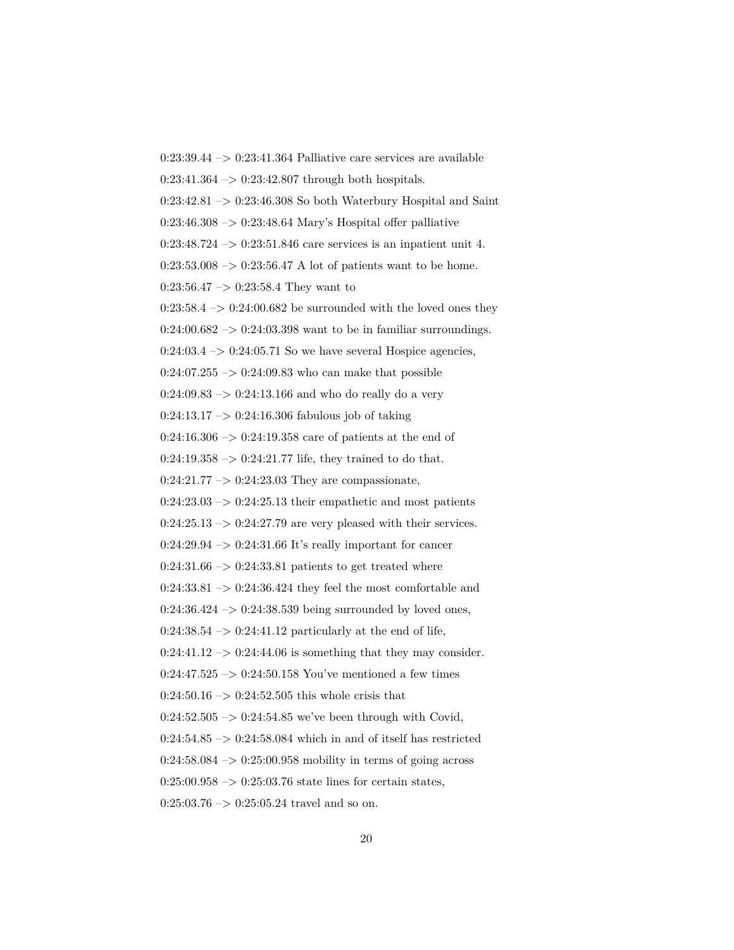$0:23:39.44 \rightarrow 0:23:41.364$  Palliative care services are available  $0:23:41.364 \rightarrow 0:23:42.807$  through both hospitals.  $0:23:42.81 \rightarrow 0:23:46.308$  So both Waterbury Hospital and Saint  $0:23:46.308 \rightarrow 0:23:48.64$  Mary's Hospital offer palliative  $0:23:48.724 \rightarrow 0:23:51.846$  care services is an inpatient unit 4.  $0:23:53.008 \rightarrow 0:23:56.47$  A lot of patients want to be home.  $0:23:56.47 \rightarrow 0:23:58.4$  They want to  $0:23:58.4 \rightarrow 0:24:00.682$  be surrounded with the loved ones they  $0:24:00.682 \rightarrow 0:24:03.398$  want to be in familiar surroundings.  $0:24:03.4 \rightarrow 0:24:05.71$  So we have several Hospice agencies,  $0:24:07.255 \rightarrow 0:24:09.83$  who can make that possible  $0:24:09.83 \rightarrow 0:24:13.166$  and who do really do a very  $0:24:13.17 \rightarrow 0:24:16.306$  fabulous job of taking  $0:24:16.306 \rightarrow 0:24:19.358$  care of patients at the end of  $0:24:19.358 \rightarrow 0:24:21.77$  life, they trained to do that.  $0:24:21.77 \rightarrow 0:24:23.03$  They are compassionate,  $0:24:23.03 \rightarrow 0:24:25.13$  their empathetic and most patients 0:24:25.13  $\mathord{\rightarrow}$  0:24:27.79 are very pleased with their services.  $0:24:29.94 \rightarrow 0:24:31.66$  It's really important for cancer  $0:24:31.66 \rightarrow 0:24:33.81$  patients to get treated where  $0:24:33.81 \rightarrow 0:24:36.424$  they feel the most comfortable and  $0:24:36.424 \rightarrow 0:24:38.539$  being surrounded by loved ones,  $0:24:38.54 \rightarrow 0:24:41.12$  particularly at the end of life,  $0:24:41.12 \rightarrow 0:24:44.06$  is something that they may consider. 0:24:47.525  $\rightarrow$  0:24:50.158 You've mentioned a few times  $0:24:50.16 \rightarrow 0:24:52.505$  this whole crisis that  $0:24:52.505 \rightarrow 0:24:54.85$  we've been through with Covid,  $0:24:54.85 \rightarrow 0:24:58.084$  which in and of itself has restricted  $0:24:58.084 \rightarrow 0:25:00.958$  mobility in terms of going across  $0:25:00.958 \rightarrow 0:25:03.76$  state lines for certain states,  $0:25:03.76 \rightarrow 0:25:05.24$  travel and so on.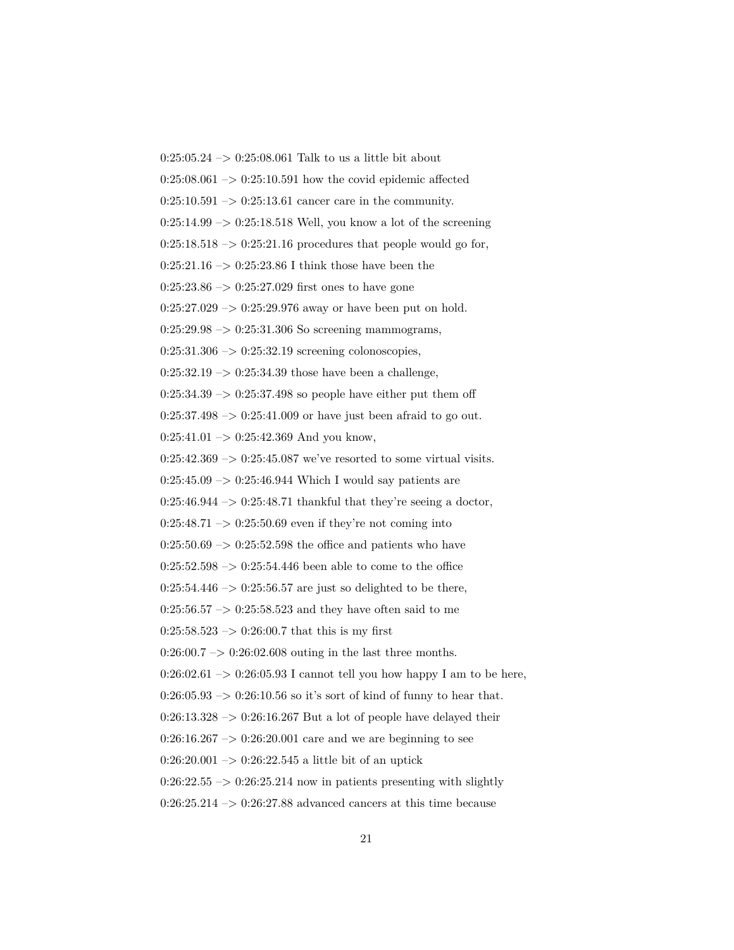$0:25:05.24 \rightarrow 0:25:08.061$  Talk to us a little bit about  $0:25:08.061 \rightarrow 0:25:10.591$  how the covid epidemic affected  $0:25:10.591 \rightarrow 0:25:13.61$  cancer care in the community.  $0:25:14.99 \rightarrow 0:25:18.518$  Well, you know a lot of the screening  $0:25:18.518 \rightarrow 0:25:21.16$  procedures that people would go for,  $0:25:21.16 \rightarrow 0:25:23.86$  I think those have been the  $0:25:23.86 \rightarrow 0:25:27.029$  first ones to have gone  $0:25:27.029 \rightarrow 0:25:29.976$  away or have been put on hold.  $0:25:29.98 \rightarrow 0:25:31.306$  So screening mammograms,  $0:25:31.306 \rightarrow 0:25:32.19$  screening colonoscopies,  $0:25:32.19 \rightarrow 0:25:34.39$  those have been a challenge,  $0:25:34.39 \rightarrow 0:25:37.498$  so people have either put them off  $0:25:37.498 \rightarrow 0:25:41.009$  or have just been afraid to go out.  $0:25:41.01 \rightarrow 0:25:42.369$  And you know,  $0:25:42.369 \rightarrow 0:25:45.087$  we've resorted to some virtual visits.  $0:25:45.09 \rightarrow 0:25:46.944$  Which I would say patients are  $0:25:46.944 \rightarrow 0:25:48.71$  thankful that they're seeing a doctor,  $0:25:48.71 \rightarrow 0:25:50.69$  even if they're not coming into  $0:25:50.69 \rightarrow 0:25:52.598$  the office and patients who have  $0:25:52.598 \rightarrow 0:25:54.446$  been able to come to the office  $0:25:54.446 \rightarrow 0:25:56.57$  are just so delighted to be there,  $0:25:56.57 \rightarrow 0:25:58.523$  and they have often said to me  $0:25:58.523 \rightarrow 0:26:00.7$  that this is my first  $0:26:00.7 \rightarrow 0:26:02.608$  outing in the last three months.  $0:26:02.61 \rightarrow 0:26:05.93$  I cannot tell you how happy I am to be here,  $0:26:05.93 \rightarrow 0:26:10.56$  so it's sort of kind of funny to hear that.  $0:26:13.328 \rightarrow 0:26:16.267$  But a lot of people have delayed their  $0:26:16.267 \rightarrow 0:26:20.001$  care and we are beginning to see  $0:26:20.001 \rightarrow 0:26:22.545$  a little bit of an uptick  $0:26:22.55 \rightarrow 0:26:25.214$  now in patients presenting with slightly  $0:26:25.214 \rightarrow 0:26:27.88$  advanced cancers at this time because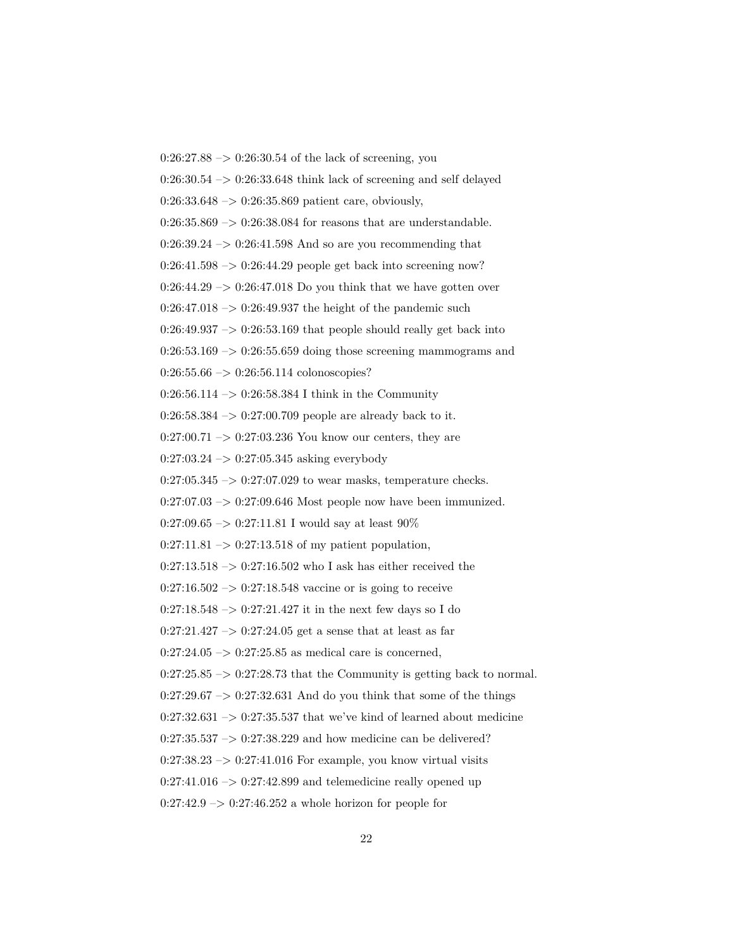$0:26:27.88 \rightarrow 0:26:30.54$  of the lack of screening, you  $0:26:30.54 \rightarrow 0:26:33.648$  think lack of screening and self delayed  $0:26:33.648 \rightarrow 0:26:35.869$  patient care, obviously,  $0:26:35.869 \rightarrow 0:26:38.084$  for reasons that are understandable.  $0:26:39.24 \rightarrow 0:26:41.598$  And so are you recommending that  $0:26:41.598 \rightarrow 0:26:44.29$  people get back into screening now?  $0:26:44.29 \rightarrow 0:26:47.018$  Do you think that we have gotten over  $0:26:47.018 \rightarrow 0:26:49.937$  the height of the pandemic such  $0:26:49.937 \rightarrow 0:26:53.169$  that people should really get back into  $0:26:53.169 \rightarrow 0:26:55.659$  doing those screening mammograms and  $0:26:55.66 \rightarrow 0:26:56.114$  colonoscopies? 0:26:56.114 -> 0:26:58.384 I think in the Community 0:26:58.384 –> 0:27:00.709 people are already back to it.  $0:27:00.71 \rightarrow 0:27:03.236$  You know our centers, they are  $0:27:03.24 \rightarrow 0:27:05.345$  asking everybody  $0:27:05.345 \rightarrow 0:27:07.029$  to wear masks, temperature checks.  $0:27:07.03 \rightarrow 0:27:09.646$  Most people now have been immunized.  $0:27:09.65 \rightarrow 0:27:11.81$  I would say at least  $90\%$  $0:27:11.81 \rightarrow 0:27:13.518$  of my patient population,  $0:27:13.518 \rightarrow 0:27:16.502$  who I ask has either received the  $0:27:16.502 \rightarrow 0:27:18.548$  vaccine or is going to receive  $0:27:18.548 \rightarrow 0:27:21.427$  it in the next few days so I do  $0:27:21.427 \rightarrow 0:27:24.05$  get a sense that at least as far  $0:27:24.05 \rightarrow 0:27:25.85$  as medical care is concerned,  $0:27:25.85 \rightarrow 0:27:28.73$  that the Community is getting back to normal.  $0:27:29.67 \rightarrow 0:27:32.631$  And do you think that some of the things  $0:27:32.631 \rightarrow 0:27:35.537$  that we've kind of learned about medicine  $0:27:35.537 \rightarrow 0:27:38.229$  and how medicine can be delivered?  $0:27:38.23 \rightarrow 0:27:41.016$  For example, you know virtual visits  $0:27:41.016 \rightarrow 0:27:42.899$  and telemedicine really opened up  $0:27:42.9 \rightarrow 0:27:46.252$  a whole horizon for people for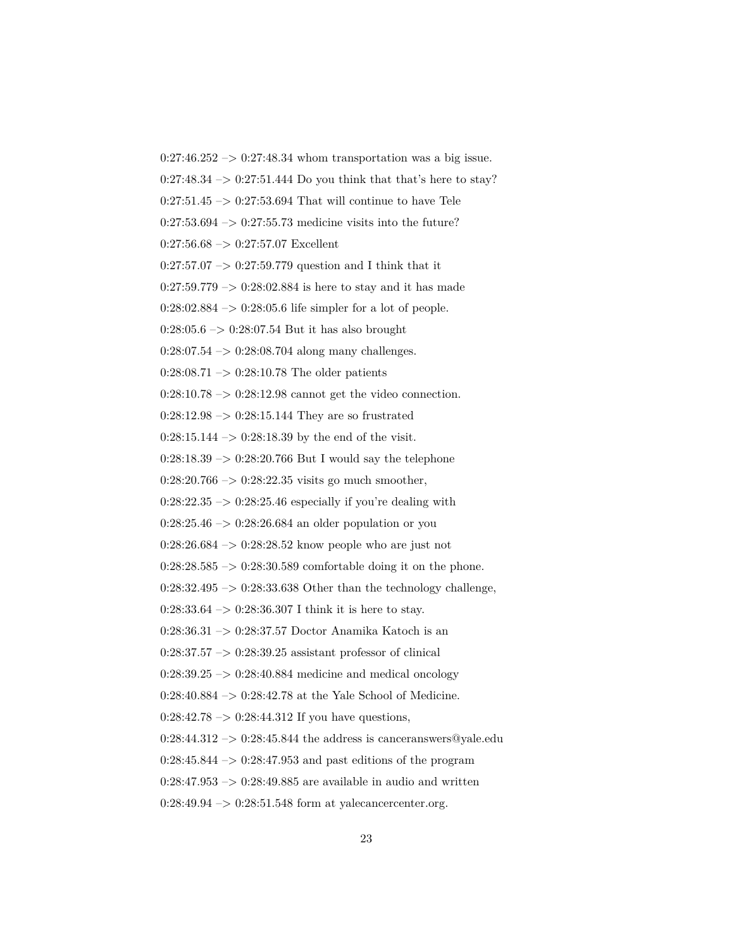$0:27:46.252 \rightarrow 0:27:48.34$  whom transportation was a big issue.  $0:27:48.34 \rightarrow 0:27:51.444$  Do you think that that's here to stay?  $0:27:51.45 \rightarrow 0:27:53.694$  That will continue to have Tele  $0:27:53.694 \rightarrow 0:27:55.73$  medicine visits into the future?  $0:27:56.68 \rightarrow 0:27:57.07$  Excellent  $0:27:57.07 \rightarrow 0:27:59.779$  question and I think that it  $0:27:59.779 \rightarrow 0:28:02.884$  is here to stay and it has made  $0:28:02.884 \rightarrow 0:28:05.6$  life simpler for a lot of people.  $0:28:05.6 \rightarrow 0:28:07.54$  But it has also brought  $0:28:07.54 \rightarrow 0:28:08.704$  along many challenges.  $0:28:08.71 \rightarrow 0:28:10.78$  The older patients  $0:28:10.78 \rightarrow 0:28:12.98$  cannot get the video connection.  $0:28:12.98 \rightarrow 0:28:15.144$  They are so frustrated  $0:28:15.144 \rightarrow 0:28:18.39$  by the end of the visit.  $0:28:18.39 \rightarrow 0:28:20.766$  But I would say the telephone  $0:28:20.766 \rightarrow 0:28:22.35$  visits go much smoother,  $0:28:22.35 \rightarrow 0:28:25.46$  especially if you're dealing with  $0:28:25.46 \rightarrow 0:28:26.684$  an older population or you  $0:28:26.684 \rightarrow 0:28:28.52$  know people who are just not  $0:28:28.585 \rightarrow 0:28:30.589$  comfortable doing it on the phone.  $0:28:32.495 \rightarrow 0:28:33.638$  Other than the technology challenge,  $0:28:33.64 \rightarrow 0:28:36.307$  I think it is here to stay. 0:28:36.31 –> 0:28:37.57 Doctor Anamika Katoch is an  $0:28:37.57 \rightarrow 0:28:39.25$  assistant professor of clinical  $0:28:39.25 \rightarrow 0:28:40.884$  medicine and medical oncology 0:28:40.884 –> 0:28:42.78 at the Yale School of Medicine.  $0:28:42.78 \rightarrow 0:28:44.312$  If you have questions,  $0:28:44.312 \rightarrow 0:28:45.844$  the address is canceranswers@yale.edu  $0:28:45.844 \rightarrow 0:28:47.953$  and past editions of the program  $0:28:47.953 \rightarrow 0:28:49.885$  are available in audio and written  $0:28:49.94 \rightarrow 0:28:51.548$  form at yalecancercenter.org.